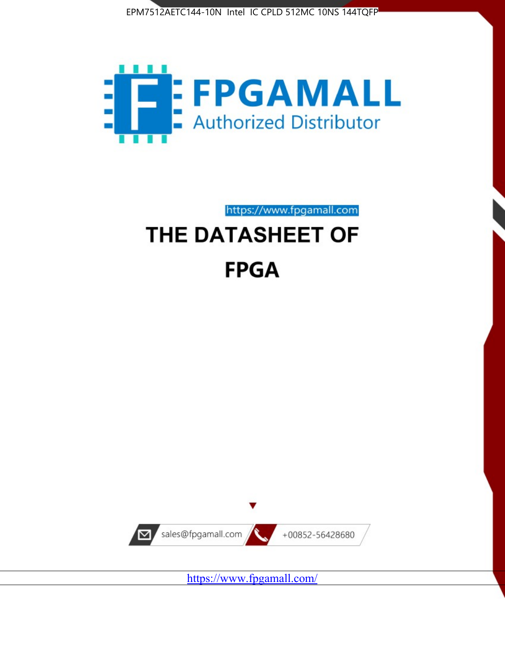



https://www.fpgamall.com

# THE DATASHEET OF **FPGA**



<https://www.fpgamall.com/>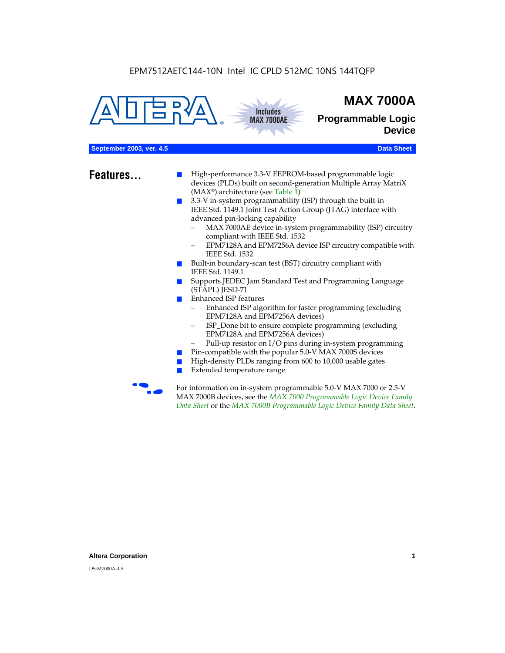



## **MAX 7000A**

**Programmable Logic Device**

#### **September 2003, ver. 4.5 Data Sheet** Construction of the Construction of the Construction of the Construction of the Construction of the Construction of the Construction of the Construction of the Construction of the Cons

- **Features...** High-performance 3.3-V EEPROM-based programmable logic devices (PLDs) built on second-generation Multiple Array MatriX (MAX®) architecture (see Table 1)
	- 3.3-V in-system programmability (ISP) through the built-in IEEE Std. 1149.1 Joint Test Action Group (JTAG) interface with advanced pin-locking capability
		- MAX 7000AE device in-system programmability (ISP) circuitry compliant with IEEE Std. 1532
		- EPM7128A and EPM7256A device ISP circuitry compatible with IEEE Std. 1532
	- Built-in boundary-scan test (BST) circuitry compliant with IEEE Std. 1149.1
	- Supports JEDEC Jam Standard Test and Programming Language (STAPL) JESD-71
	- Enhanced ISP features
		- Enhanced ISP algorithm for faster programming (excluding EPM7128A and EPM7256A devices)
		- ISP\_Done bit to ensure complete programming (excluding EPM7128A and EPM7256A devices)
		- Pull-up resistor on I/O pins during in-system programming
	- Pin-compatible with the popular 5.0-V MAX 7000S devices
	- High-density PLDs ranging from 600 to 10,000 usable gates
	- Extended temperature range

For information on in-system programmable 5.0-V MAX 7000 or 2.5-V MAX 7000B devices, see the *MAX 7000 Programmable Logic Device Family Data Sheet* or the *MAX 7000B Programmable Logic Device Family Data Sheet*.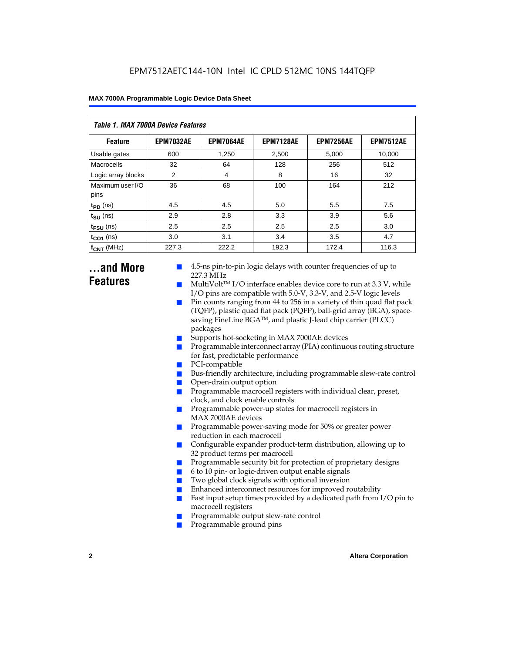| Table 1. MAX 7000A Device Features |                  |                  |                  |                  |                  |  |  |  |
|------------------------------------|------------------|------------------|------------------|------------------|------------------|--|--|--|
| <b>Feature</b>                     | <b>EPM7032AE</b> | <b>EPM7064AE</b> | <b>EPM7128AE</b> | <b>EPM7256AE</b> | <b>EPM7512AE</b> |  |  |  |
| Usable gates                       | 600              | 1,250            | 2,500            | 5,000            | 10,000           |  |  |  |
| Macrocells                         | 32               | 64               | 128              | 256              | 512              |  |  |  |
| Logic array blocks                 | 2                | $\overline{4}$   | 8                | 16               | 32               |  |  |  |
| Maximum user I/O<br>pins           | 36               | 68               | 100              | 164              | 212              |  |  |  |
| $t_{PD}$ (ns)                      | 4.5              | 4.5              | 5.0              | 5.5              | 7.5              |  |  |  |
| $t_{\text{SU}}$ (ns)               | 2.9              | 2.8              | 3.3              | 3.9              | 5.6              |  |  |  |
| $t_{\text{FSU}}$ (ns)              | 2.5              | 2.5              | 2.5              | 2.5              | 3.0              |  |  |  |
| $t_{CO1}$ (ns)                     | 3.0              | 3.1              | 3.4              | 3.5              | 4.7              |  |  |  |
| $f_{CNT}$ (MHz)                    | 227.3            | 222.2            | 192.3            | 172.4            | 116.3            |  |  |  |

### **...and More Features**

- 4.5-ns pin-to-pin logic delays with counter frequencies of up to 227.3 MHz
- $Multivolt<sup>TM</sup> I/O interface enables device core to run at 3.3 V, while$ I/O pins are compatible with 5.0-V, 3.3-V, and 2.5-V logic levels
- Pin counts ranging from 44 to 256 in a variety of thin quad flat pack (TQFP), plastic quad flat pack (PQFP), ball-grid array (BGA), spacesaving FineLine BGATM, and plastic J-lead chip carrier (PLCC) packages
- Supports hot-socketing in MAX 7000AE devices
- Programmable interconnect array (PIA) continuous routing structure for fast, predictable performance
- PCI-compatible
- Bus-friendly architecture, including programmable slew-rate control
- Open-drain output option
- Programmable macrocell registers with individual clear, preset, clock, and clock enable controls
- Programmable power-up states for macrocell registers in MAX 7000AE devices
- Programmable power-saving mode for 50% or greater power reduction in each macrocell
- Configurable expander product-term distribution, allowing up to 32 product terms per macrocell
- Programmable security bit for protection of proprietary designs
- 6 to 10 pin- or logic-driven output enable signals
- Two global clock signals with optional inversion
- Enhanced interconnect resources for improved routability
- Fast input setup times provided by a dedicated path from  $I/O$  pin to macrocell registers
- Programmable output slew-rate control
- Programmable ground pins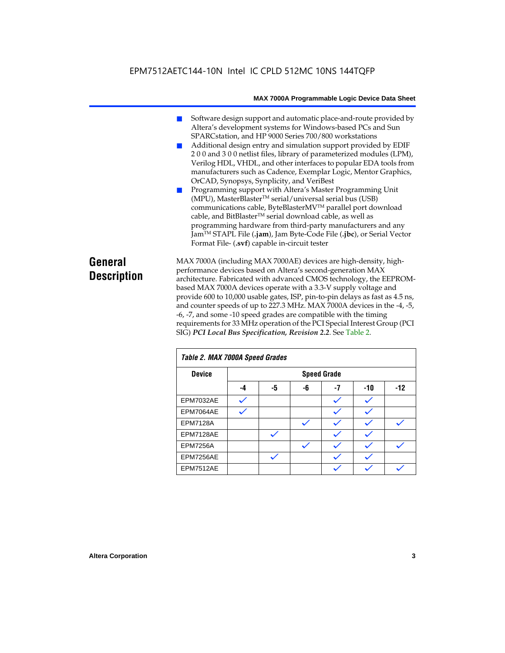- Software design support and automatic place-and-route provided by Altera's development systems for Windows-based PCs and Sun SPARCstation, and HP 9000 Series 700/800 workstations
- Additional design entry and simulation support provided by EDIF 2 0 0 and 3 0 0 netlist files, library of parameterized modules (LPM), Verilog HDL, VHDL, and other interfaces to popular EDA tools from manufacturers such as Cadence, Exemplar Logic, Mentor Graphics, OrCAD, Synopsys, Synplicity, and VeriBest
- Programming support with Altera's Master Programming Unit (MPU), MasterBlaster™ serial/universal serial bus (USB) communications cable, ByteBlasterMVTM parallel port download cable, and BitBlaster™ serial download cable, as well as programming hardware from third-party manufacturers and any JamTM STAPL File (**.jam**), Jam Byte-Code File (**.jbc**), or Serial Vector Format File- (**.svf**) capable in-circuit tester

### **General Description**

MAX 7000A (including MAX 7000AE) devices are high-density, highperformance devices based on Altera's second-generation MAX architecture. Fabricated with advanced CMOS technology, the EEPROMbased MAX 7000A devices operate with a 3.3-V supply voltage and provide 600 to 10,000 usable gates, ISP, pin-to-pin delays as fast as 4.5 ns, and counter speeds of up to 227.3 MHz. MAX 7000A devices in the -4, -5, -6, -7, and some -10 speed grades are compatible with the timing requirements for 33 MHz operation of the PCI Special Interest Group (PCI SIG) *PCI Local Bus Specification, Revision 2.2*. See Table 2.

| Table 2. MAX 7000A Speed Grades |    |    |    |                    |     |       |
|---------------------------------|----|----|----|--------------------|-----|-------|
| <b>Device</b>                   |    |    |    | <b>Speed Grade</b> |     |       |
|                                 | -4 | -5 | -6 | -7                 | -10 | $-12$ |
| EPM7032AE                       |    |    |    |                    |     |       |
| EPM7064AE                       |    |    |    |                    |     |       |
| <b>EPM7128A</b>                 |    |    |    |                    |     |       |
| EPM7128AE                       |    |    |    |                    |     |       |
| <b>EPM7256A</b>                 |    |    |    |                    |     |       |
| EPM7256AE                       |    |    |    |                    |     |       |
| EPM7512AE                       |    |    |    |                    |     |       |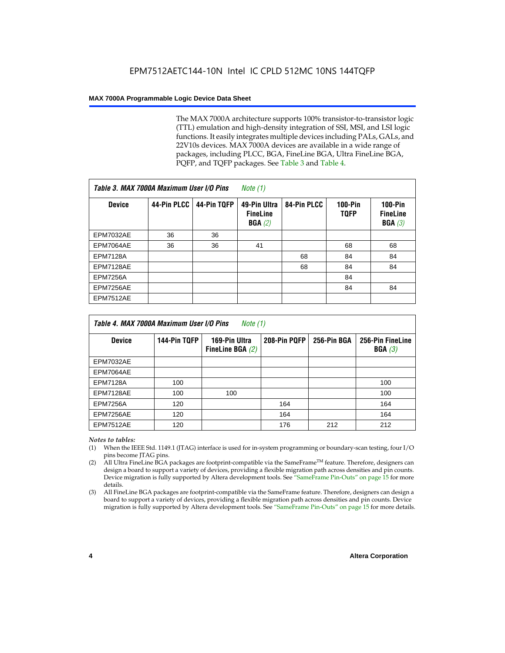The MAX 7000A architecture supports 100% transistor-to-transistor logic (TTL) emulation and high-density integration of SSI, MSI, and LSI logic functions. It easily integrates multiple devices including PALs, GALs, and 22V10s devices. MAX 7000A devices are available in a wide range of packages, including PLCC, BGA, FineLine BGA, Ultra FineLine BGA, PQFP, and TQFP packages. See Table 3 and Table 4.

| Table 3. MAX 7000A Maximum User I/O Pins |             |             | Note $(1)$                                |             |                               |                                        |
|------------------------------------------|-------------|-------------|-------------------------------------------|-------------|-------------------------------|----------------------------------------|
| <b>Device</b>                            | 44-Pin PLCC | 44-Pin TQFP | 49-Pin Ultra<br><b>FineLine</b><br>BGA(2) | 84-Pin PLCC | <b>100-Pin</b><br><b>TQFP</b> | $100-Pin$<br><b>FineLine</b><br>BGA(3) |
| EPM7032AE                                | 36          | 36          |                                           |             |                               |                                        |
| EPM7064AE                                | 36          | 36          | 41                                        |             | 68                            | 68                                     |
| <b>EPM7128A</b>                          |             |             |                                           | 68          | 84                            | 84                                     |
| EPM7128AE                                |             |             |                                           | 68          | 84                            | 84                                     |
| <b>EPM7256A</b>                          |             |             |                                           |             | 84                            |                                        |
| EPM7256AE                                |             |             |                                           |             | 84                            | 84                                     |
| <b>EPM7512AE</b>                         |             |             |                                           |             |                               |                                        |

| Table 4. MAX 7000A Maximum User I/O Pins<br>Note (1) |              |                                     |              |             |                            |  |  |
|------------------------------------------------------|--------------|-------------------------------------|--------------|-------------|----------------------------|--|--|
| <b>Device</b>                                        | 144-Pin TQFP | 169-Pin Ultra<br>FineLine BGA $(2)$ | 208-Pin PQFP | 256-Pin BGA | 256-Pin FineLine<br>BGA(3) |  |  |
| EPM7032AE                                            |              |                                     |              |             |                            |  |  |
| EPM7064AE                                            |              |                                     |              |             |                            |  |  |
| <b>EPM7128A</b>                                      | 100          |                                     |              |             | 100                        |  |  |
| EPM7128AE                                            | 100          | 100                                 |              |             | 100                        |  |  |
| <b>EPM7256A</b>                                      | 120          |                                     | 164          |             | 164                        |  |  |
| EPM7256AE                                            | 120          |                                     | 164          |             | 164                        |  |  |
| EPM7512AE                                            | 120          |                                     | 176          | 212         | 212                        |  |  |

#### *Notes to tables:*

- (1) When the IEEE Std. 1149.1 (JTAG) interface is used for in-system programming or boundary-scan testing, four I/O pins become JTAG pins.
- (2) All Ultra FineLine BGA packages are footprint-compatible via the SameFrame<sup>TM</sup> feature. Therefore, designers can design a board to support a variety of devices, providing a flexible migration path across densities and pin counts. Device migration is fully supported by Altera development tools. See "SameFrame Pin-Outs" on page 15 for more details.
- (3) All FineLine BGA packages are footprint-compatible via the SameFrame feature. Therefore, designers can design a board to support a variety of devices, providing a flexible migration path across densities and pin counts. Device migration is fully supported by Altera development tools. See "SameFrame Pin-Outs" on page 15 for more details.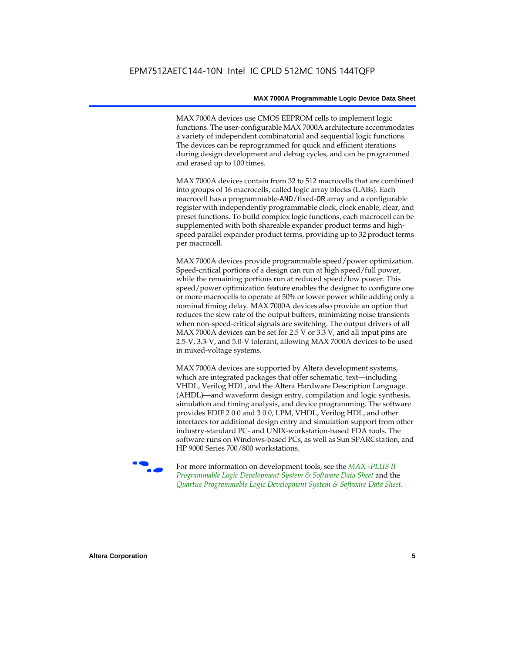MAX 7000A devices use CMOS EEPROM cells to implement logic functions. The user-configurable MAX 7000A architecture accommodates a variety of independent combinatorial and sequential logic functions. The devices can be reprogrammed for quick and efficient iterations during design development and debug cycles, and can be programmed and erased up to 100 times.

MAX 7000A devices contain from 32 to 512 macrocells that are combined into groups of 16 macrocells, called logic array blocks (LABs). Each macrocell has a programmable-AND/fixed-OR array and a configurable register with independently programmable clock, clock enable, clear, and preset functions. To build complex logic functions, each macrocell can be supplemented with both shareable expander product terms and highspeed parallel expander product terms, providing up to 32 product terms per macrocell.

MAX 7000A devices provide programmable speed/power optimization. Speed-critical portions of a design can run at high speed/full power, while the remaining portions run at reduced speed/low power. This speed/power optimization feature enables the designer to configure one or more macrocells to operate at 50% or lower power while adding only a nominal timing delay. MAX 7000A devices also provide an option that reduces the slew rate of the output buffers, minimizing noise transients when non-speed-critical signals are switching. The output drivers of all MAX 7000A devices can be set for 2.5 V or 3.3 V, and all input pins are 2.5-V, 3.3-V, and 5.0-V tolerant, allowing MAX 7000A devices to be used in mixed-voltage systems.

MAX 7000A devices are supported by Altera development systems, which are integrated packages that offer schematic, text—including VHDL, Verilog HDL, and the Altera Hardware Description Language (AHDL)—and waveform design entry, compilation and logic synthesis, simulation and timing analysis, and device programming. The software provides EDIF 2 0 0 and 3 0 0, LPM, VHDL, Verilog HDL, and other interfaces for additional design entry and simulation support from other industry-standard PC- and UNIX-workstation-based EDA tools. The software runs on Windows-based PCs, as well as Sun SPARCstation, and HP 9000 Series 700/800 workstations.

**For more information on development tools, see the** *MAX+PLUS II Programmable Logic Development System & Software Data Sheet* and the *Quartus Programmable Logic Development System & Software Data Sheet*.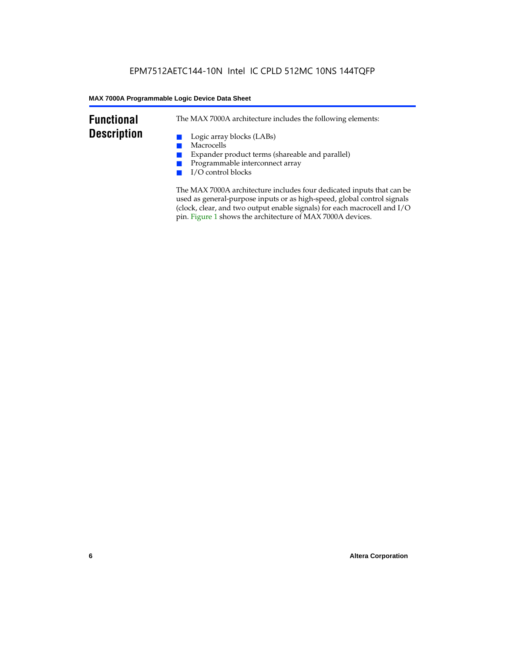### **Functional Description**

The MAX 7000A architecture includes the following elements:

- Logic array blocks (LABs)
- Macrocells
- Expander product terms (shareable and parallel)
- Programmable interconnect array
- I/O control blocks

The MAX 7000A architecture includes four dedicated inputs that can be used as general-purpose inputs or as high-speed, global control signals (clock, clear, and two output enable signals) for each macrocell and I/O pin. Figure 1 shows the architecture of MAX 7000A devices.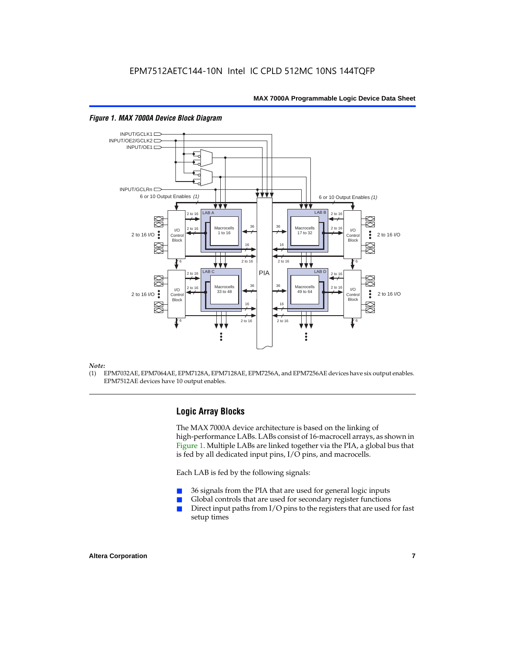

#### *Figure 1. MAX 7000A Device Block Diagram*

#### *Note:*

(1) EPM7032AE, EPM7064AE, EPM7128A, EPM7128AE, EPM7256A, and EPM7256AE devices have six output enables. EPM7512AE devices have 10 output enables.

#### **Logic Array Blocks**

The MAX 7000A device architecture is based on the linking of high-performance LABs. LABs consist of 16-macrocell arrays, as shown in Figure 1. Multiple LABs are linked together via the PIA, a global bus that is fed by all dedicated input pins, I/O pins, and macrocells.

Each LAB is fed by the following signals:

- 36 signals from the PIA that are used for general logic inputs
- Global controls that are used for secondary register functions
- Direct input paths from  $I/O$  pins to the registers that are used for fast setup times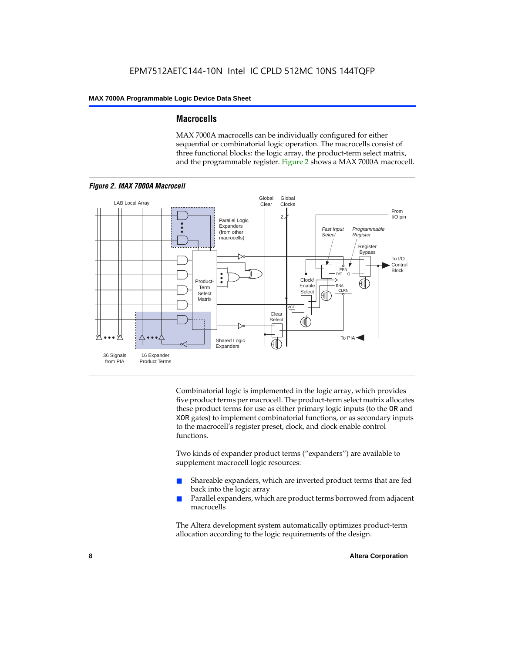#### **Macrocells**

MAX 7000A macrocells can be individually configured for either sequential or combinatorial logic operation. The macrocells consist of three functional blocks: the logic array, the product-term select matrix, and the programmable register. Figure 2 shows a MAX 7000A macrocell.



Combinatorial logic is implemented in the logic array, which provides five product terms per macrocell. The product-term select matrix allocates these product terms for use as either primary logic inputs (to the OR and XOR gates) to implement combinatorial functions, or as secondary inputs to the macrocell's register preset, clock, and clock enable control functions.

Two kinds of expander product terms ("expanders") are available to supplement macrocell logic resources:

- Shareable expanders, which are inverted product terms that are fed back into the logic array
- Parallel expanders, which are product terms borrowed from adjacent macrocells

The Altera development system automatically optimizes product-term allocation according to the logic requirements of the design.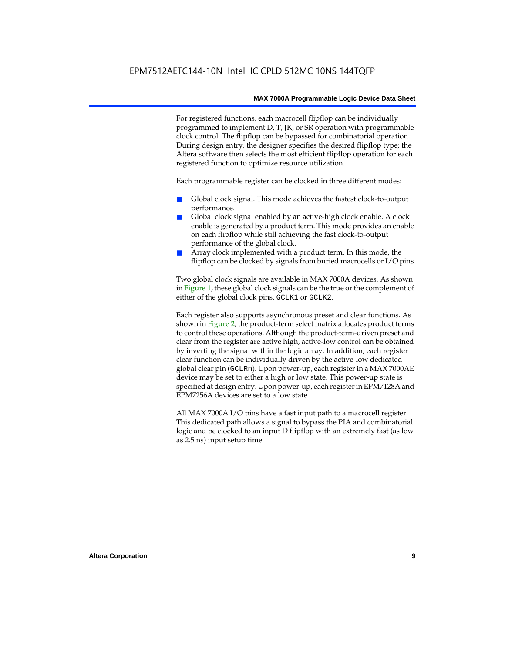For registered functions, each macrocell flipflop can be individually programmed to implement D, T, JK, or SR operation with programmable clock control. The flipflop can be bypassed for combinatorial operation. During design entry, the designer specifies the desired flipflop type; the Altera software then selects the most efficient flipflop operation for each registered function to optimize resource utilization.

Each programmable register can be clocked in three different modes:

- Global clock signal. This mode achieves the fastest clock-to-output performance.
- Global clock signal enabled by an active-high clock enable. A clock enable is generated by a product term. This mode provides an enable on each flipflop while still achieving the fast clock-to-output performance of the global clock.
- Array clock implemented with a product term. In this mode, the flipflop can be clocked by signals from buried macrocells or I/O pins.

Two global clock signals are available in MAX 7000A devices. As shown in Figure 1, these global clock signals can be the true or the complement of either of the global clock pins, GCLK1 or GCLK2.

Each register also supports asynchronous preset and clear functions. As shown in Figure 2, the product-term select matrix allocates product terms to control these operations. Although the product-term-driven preset and clear from the register are active high, active-low control can be obtained by inverting the signal within the logic array. In addition, each register clear function can be individually driven by the active-low dedicated global clear pin (GCLRn). Upon power-up, each register in a MAX 7000AE device may be set to either a high or low state. This power-up state is specified at design entry. Upon power-up, each register in EPM7128A and EPM7256A devices are set to a low state.

All MAX 7000A I/O pins have a fast input path to a macrocell register. This dedicated path allows a signal to bypass the PIA and combinatorial logic and be clocked to an input D flipflop with an extremely fast (as low as 2.5 ns) input setup time.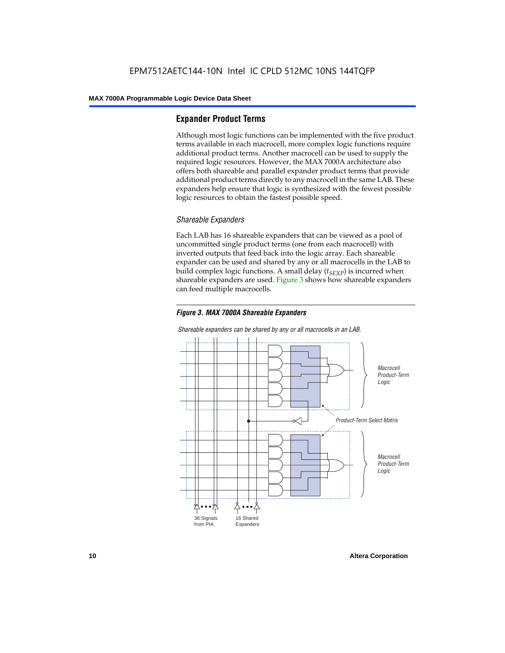#### **Expander Product Terms**

Although most logic functions can be implemented with the five product terms available in each macrocell, more complex logic functions require additional product terms. Another macrocell can be used to supply the required logic resources. However, the MAX 7000A architecture also offers both shareable and parallel expander product terms that provide additional product terms directly to any macrocell in the same LAB. These expanders help ensure that logic is synthesized with the fewest possible logic resources to obtain the fastest possible speed.

#### *Shareable Expanders*

Each LAB has 16 shareable expanders that can be viewed as a pool of uncommitted single product terms (one from each macrocell) with inverted outputs that feed back into the logic array. Each shareable expander can be used and shared by any or all macrocells in the LAB to build complex logic functions. A small delay  $(t_{SFXP})$  is incurred when shareable expanders are used. Figure 3 shows how shareable expanders can feed multiple macrocells.



**Macrocell** Product-Term Logic Product-Term Select Matrix **Macrocell** Product-Term Logic 36 Signals from PIA 16 Shared Expanders

*Shareable expanders can be shared by any or all macrocells in an LAB.*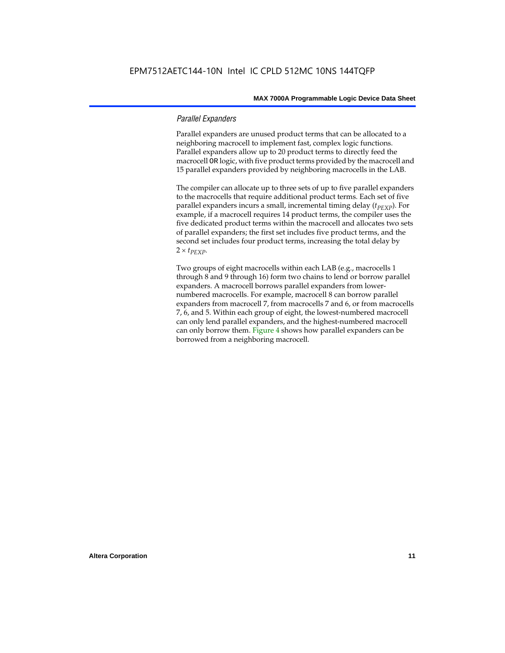#### *Parallel Expanders*

Parallel expanders are unused product terms that can be allocated to a neighboring macrocell to implement fast, complex logic functions. Parallel expanders allow up to 20 product terms to directly feed the macrocell OR logic, with five product terms provided by the macrocell and 15 parallel expanders provided by neighboring macrocells in the LAB.

The compiler can allocate up to three sets of up to five parallel expanders to the macrocells that require additional product terms. Each set of five parallel expanders incurs a small, incremental timing delay (*t<sub>PEXP</sub>*). For example, if a macrocell requires 14 product terms, the compiler uses the five dedicated product terms within the macrocell and allocates two sets of parallel expanders; the first set includes five product terms, and the second set includes four product terms, increasing the total delay by  $2 \times t_{PEXP}$ .

Two groups of eight macrocells within each LAB (e.g., macrocells 1 through 8 and 9 through 16) form two chains to lend or borrow parallel expanders. A macrocell borrows parallel expanders from lowernumbered macrocells. For example, macrocell 8 can borrow parallel expanders from macrocell 7, from macrocells 7 and 6, or from macrocells 7, 6, and 5. Within each group of eight, the lowest-numbered macrocell can only lend parallel expanders, and the highest-numbered macrocell can only borrow them. Figure 4 shows how parallel expanders can be borrowed from a neighboring macrocell.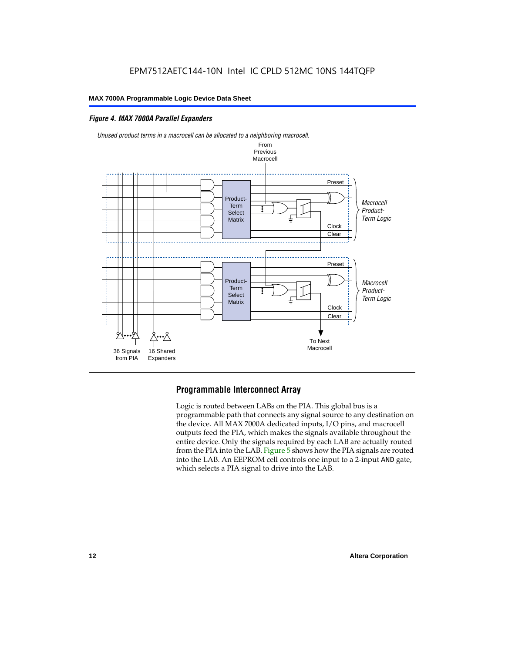#### *Figure 4. MAX 7000A Parallel Expanders*



*Unused product terms in a macrocell can be allocated to a neighboring macrocell.*

### **Programmable Interconnect Array**

Logic is routed between LABs on the PIA. This global bus is a programmable path that connects any signal source to any destination on the device. All MAX 7000A dedicated inputs, I/O pins, and macrocell outputs feed the PIA, which makes the signals available throughout the entire device. Only the signals required by each LAB are actually routed from the PIA into the LAB. Figure 5 shows how the PIA signals are routed into the LAB. An EEPROM cell controls one input to a 2-input AND gate, which selects a PIA signal to drive into the LAB.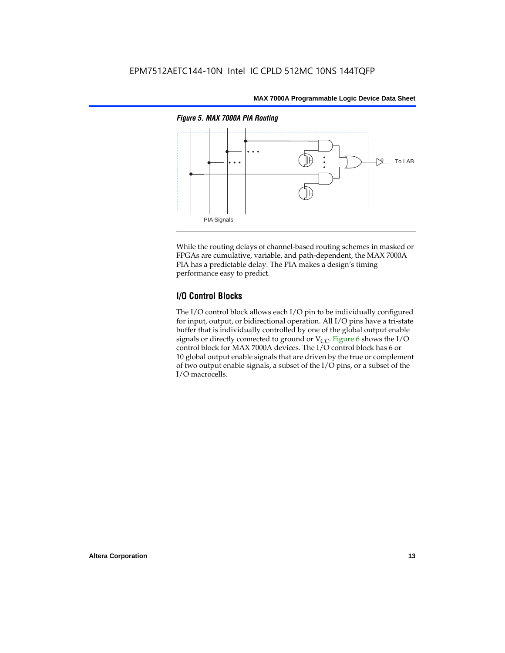

While the routing delays of channel-based routing schemes in masked or FPGAs are cumulative, variable, and path-dependent, the MAX 7000A PIA has a predictable delay. The PIA makes a design's timing performance easy to predict.

#### **I/O Control Blocks**

The I/O control block allows each I/O pin to be individually configured for input, output, or bidirectional operation. All I/O pins have a tri-state buffer that is individually controlled by one of the global output enable signals or directly connected to ground or  $V_{CC}$ . Figure 6 shows the I/O control block for MAX 7000A devices. The I/O control block has 6 or 10 global output enable signals that are driven by the true or complement of two output enable signals, a subset of the I/O pins, or a subset of the I/O macrocells.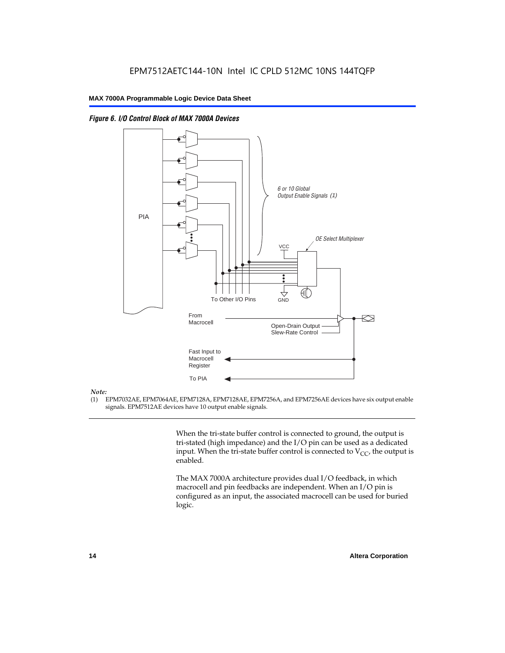



#### *Note:*

(1) EPM7032AE, EPM7064AE, EPM7128A, EPM7128AE, EPM7256A, and EPM7256AE devices have six output enable signals. EPM7512AE devices have 10 output enable signals.

> When the tri-state buffer control is connected to ground, the output is tri-stated (high impedance) and the I/O pin can be used as a dedicated input. When the tri-state buffer control is connected to  $V_{CC}$ , the output is enabled.

The MAX 7000A architecture provides dual I/O feedback, in which macrocell and pin feedbacks are independent. When an I/O pin is configured as an input, the associated macrocell can be used for buried logic.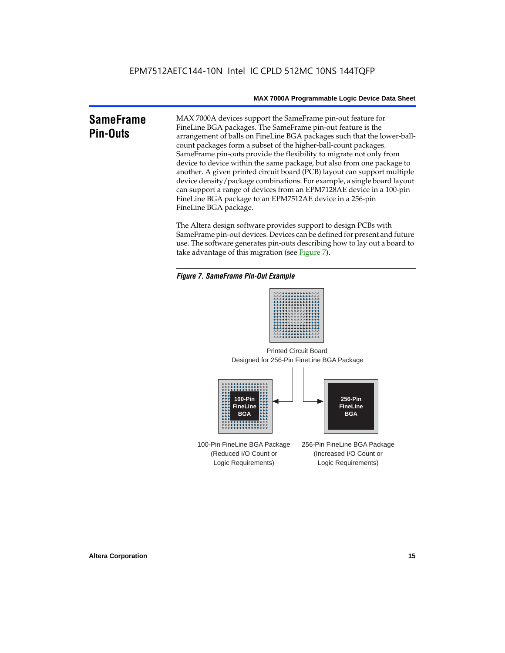### **SameFrame Pin-Outs**

MAX 7000A devices support the SameFrame pin-out feature for FineLine BGA packages. The SameFrame pin-out feature is the arrangement of balls on FineLine BGA packages such that the lower-ballcount packages form a subset of the higher-ball-count packages. SameFrame pin-outs provide the flexibility to migrate not only from device to device within the same package, but also from one package to another. A given printed circuit board (PCB) layout can support multiple device density/package combinations. For example, a single board layout can support a range of devices from an EPM7128AE device in a 100-pin FineLine BGA package to an EPM7512AE device in a 256-pin FineLine BGA package.

The Altera design software provides support to design PCBs with SameFrame pin-out devices. Devices can be defined for present and future use. The software generates pin-outs describing how to lay out a board to take advantage of this migration (see Figure 7).

#### *Figure 7. SameFrame Pin-Out Example*



Designed for 256-Pin FineLine BGA Package Printed Circuit Board



100-Pin FineLine BGA Package (Reduced I/O Count or Logic Requirements) 256-Pin FineLine BGA Package (Increased I/O Count or Logic Requirements)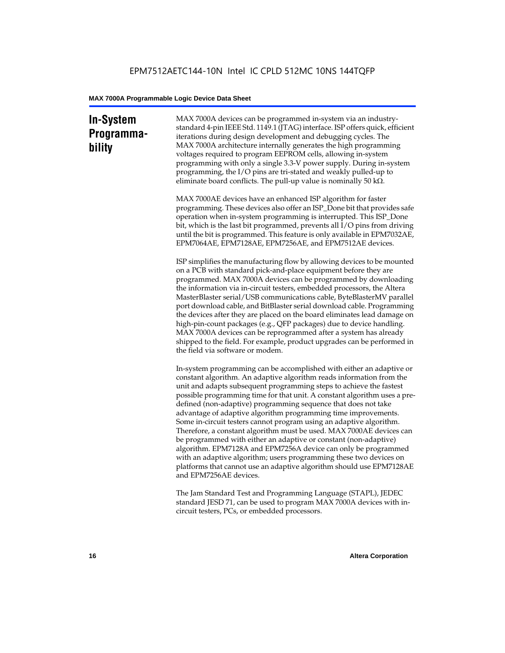### **In-System Programmability**

MAX 7000A devices can be programmed in-system via an industrystandard 4-pin IEEE Std. 1149.1 (JTAG) interface. ISP offers quick, efficient iterations during design development and debugging cycles. The MAX 7000A architecture internally generates the high programming voltages required to program EEPROM cells, allowing in-system programming with only a single 3.3-V power supply. During in-system programming, the I/O pins are tri-stated and weakly pulled-up to eliminate board conflicts. The pull-up value is nominally 50 k $\Omega$ .

MAX 7000AE devices have an enhanced ISP algorithm for faster programming. These devices also offer an ISP\_Done bit that provides safe operation when in-system programming is interrupted. This ISP\_Done bit, which is the last bit programmed, prevents all I/O pins from driving until the bit is programmed. This feature is only available in EPM7032AE, EPM7064AE, EPM7128AE, EPM7256AE, and EPM7512AE devices.

ISP simplifies the manufacturing flow by allowing devices to be mounted on a PCB with standard pick-and-place equipment before they are programmed. MAX 7000A devices can be programmed by downloading the information via in-circuit testers, embedded processors, the Altera MasterBlaster serial/USB communications cable, ByteBlasterMV parallel port download cable, and BitBlaster serial download cable. Programming the devices after they are placed on the board eliminates lead damage on high-pin-count packages (e.g., QFP packages) due to device handling. MAX 7000A devices can be reprogrammed after a system has already shipped to the field. For example, product upgrades can be performed in the field via software or modem.

In-system programming can be accomplished with either an adaptive or constant algorithm. An adaptive algorithm reads information from the unit and adapts subsequent programming steps to achieve the fastest possible programming time for that unit. A constant algorithm uses a predefined (non-adaptive) programming sequence that does not take advantage of adaptive algorithm programming time improvements. Some in-circuit testers cannot program using an adaptive algorithm. Therefore, a constant algorithm must be used. MAX 7000AE devices can be programmed with either an adaptive or constant (non-adaptive) algorithm. EPM7128A and EPM7256A device can only be programmed with an adaptive algorithm; users programming these two devices on platforms that cannot use an adaptive algorithm should use EPM7128AE and EPM7256AE devices.

The Jam Standard Test and Programming Language (STAPL), JEDEC standard JESD 71, can be used to program MAX 7000A devices with incircuit testers, PCs, or embedded processors.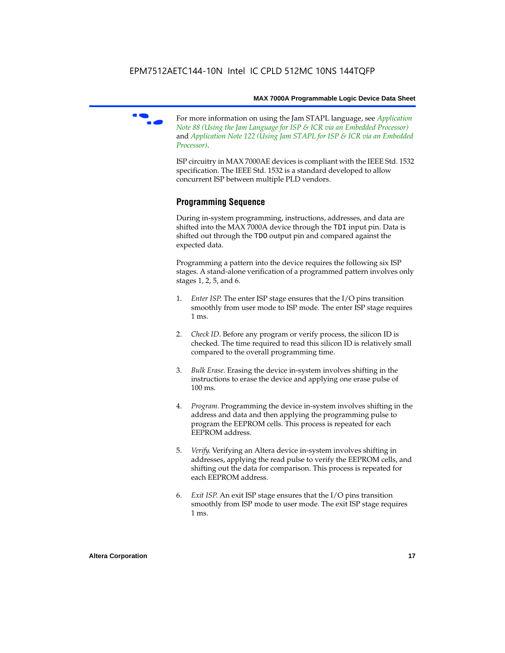f For more information on using the Jam STAPL language, see *Application Note 88 (Using the Jam Language for ISP & ICR via an Embedded Processor)*  and *Application Note 122 (Using Jam STAPL for ISP & ICR via an Embedded Processor)*.

ISP circuitry in MAX 7000AE devices is compliant with the IEEE Std. 1532 specification. The IEEE Std. 1532 is a standard developed to allow concurrent ISP between multiple PLD vendors.

#### **Programming Sequence**

During in-system programming, instructions, addresses, and data are shifted into the MAX 7000A device through the TDI input pin. Data is shifted out through the TDO output pin and compared against the expected data.

Programming a pattern into the device requires the following six ISP stages. A stand-alone verification of a programmed pattern involves only stages 1, 2, 5, and 6.

- 1. *Enter ISP*. The enter ISP stage ensures that the I/O pins transition smoothly from user mode to ISP mode. The enter ISP stage requires 1 ms.
- 2. *Check ID*. Before any program or verify process, the silicon ID is checked. The time required to read this silicon ID is relatively small compared to the overall programming time.
- 3. *Bulk Erase*. Erasing the device in-system involves shifting in the instructions to erase the device and applying one erase pulse of 100 ms.
- 4. *Program*. Programming the device in-system involves shifting in the address and data and then applying the programming pulse to program the EEPROM cells. This process is repeated for each EEPROM address.
- 5. *Verify*. Verifying an Altera device in-system involves shifting in addresses, applying the read pulse to verify the EEPROM cells, and shifting out the data for comparison. This process is repeated for each EEPROM address.
- 6. *Exit ISP*. An exit ISP stage ensures that the I/O pins transition smoothly from ISP mode to user mode. The exit ISP stage requires 1 ms.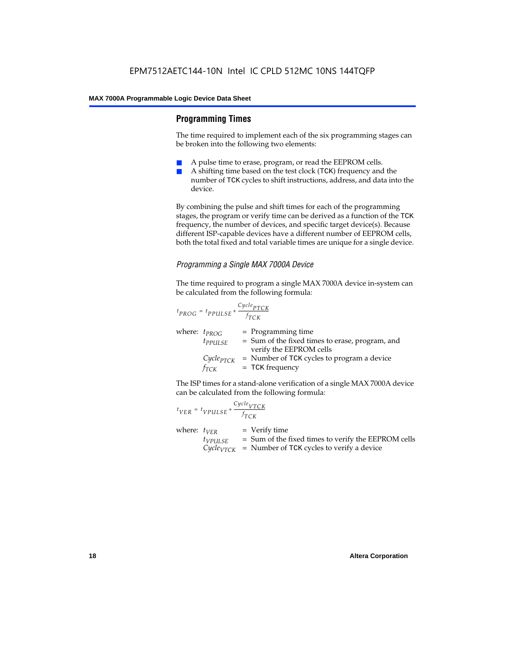#### **Programming Times**

The time required to implement each of the six programming stages can be broken into the following two elements:

- A pulse time to erase, program, or read the EEPROM cells.
- A shifting time based on the test clock (TCK) frequency and the number of TCK cycles to shift instructions, address, and data into the device.

By combining the pulse and shift times for each of the programming stages, the program or verify time can be derived as a function of the TCK frequency, the number of devices, and specific target device(s). Because different ISP-capable devices have a different number of EEPROM cells, both the total fixed and total variable times are unique for a single device.

#### *Programming a Single MAX 7000A Device*

The time required to program a single MAX 7000A device in-system can be calculated from the following formula:

$$
t_{PROG} = t_{PPULSE} + \frac{c_{ycle_{PTCK}}}{f_{TCK}}
$$
  
where:  $t_{PROG}$  = Programming time  
 $t_{PPULSE}$  = Sum of the fixed times to erase, program, and  
verify the EEPROM cells  
 $C_{ycle_{PTCK}}$  = Number of TCK cycles to program a device  
 $f_{TCK}$  = TCK frequency

The ISP times for a stand-alone verification of a single MAX 7000A device can be calculated from the following formula:

| $t_{VER} = t_{VPULSE} + \frac{Cycle_{VTCK}}{f_{TCK}}$ |                                                                                                                                 |
|-------------------------------------------------------|---------------------------------------------------------------------------------------------------------------------------------|
| where: $t_{VER}$<br>$t_{VPULSE}$                      | $=$ Verify time<br>= Sum of the fixed times to verify the EEPROM cells<br>$CycleVTCK$ = Number of TCK cycles to verify a device |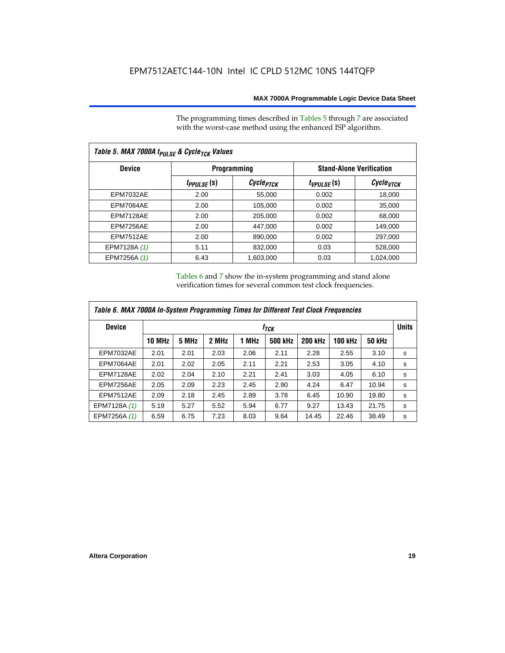The programming times described in Tables 5 through 7 are associated with the worst-case method using the enhanced ISP algorithm.

| Table 5. MAX 7000A t <sub>PULSE</sub> & Cycle <sub>TCK</sub> Values |                 |                       |                                 |                       |  |  |  |  |
|---------------------------------------------------------------------|-----------------|-----------------------|---------------------------------|-----------------------|--|--|--|--|
| <b>Device</b>                                                       |                 | <b>Programming</b>    | <b>Stand-Alone Verification</b> |                       |  |  |  |  |
|                                                                     | $t_{PPULSE}(s)$ | Cycle <sub>PTCK</sub> | $t_{VPULSE}(s)$                 | Cycle <sub>vTCK</sub> |  |  |  |  |
| <b>EPM7032AE</b>                                                    | 2.00            | 55,000                | 0.002                           | 18,000                |  |  |  |  |
| EPM7064AE                                                           | 2.00            | 105,000               | 0.002                           | 35,000                |  |  |  |  |
| EPM7128AE                                                           | 2.00            | 205,000               | 0.002                           | 68,000                |  |  |  |  |
| EPM7256AE                                                           | 2.00            | 447,000               | 0.002                           | 149.000               |  |  |  |  |
| <b>EPM7512AE</b>                                                    | 2.00            | 890,000               | 0.002                           | 297,000               |  |  |  |  |
| EPM7128A (1)                                                        | 5.11            | 832,000               | 0.03                            | 528,000               |  |  |  |  |
| EPM7256A (1)                                                        | 6.43            | 1.603.000             | 0.03                            | 1,024,000             |  |  |  |  |

Tables 6 and 7 show the in-system programming and stand alone verification times for several common test clock frequencies.

| Table 6. MAX 7000A In-System Programming Times for Different Test Clock Frequencies |               |                  |       |       |         |                |                |               |   |
|-------------------------------------------------------------------------------------|---------------|------------------|-------|-------|---------|----------------|----------------|---------------|---|
| <b>Device</b>                                                                       |               | f <sub>ТСК</sub> |       |       |         |                |                |               |   |
|                                                                                     | <b>10 MHz</b> | 5 MHz            | 2 MHz | 1 MHz | 500 kHz | <b>200 kHz</b> | <b>100 kHz</b> | <b>50 kHz</b> |   |
| <b>EPM7032AE</b>                                                                    | 2.01          | 2.01             | 2.03  | 2.06  | 2.11    | 2.28           | 2.55           | 3.10          | s |
| EPM7064AE                                                                           | 2.01          | 2.02             | 2.05  | 2.11  | 2.21    | 2.53           | 3.05           | 4.10          | s |
| EPM7128AE                                                                           | 2.02          | 2.04             | 2.10  | 2.21  | 2.41    | 3.03           | 4.05           | 6.10          | s |
| EPM7256AE                                                                           | 2.05          | 2.09             | 2.23  | 2.45  | 2.90    | 4.24           | 6.47           | 10.94         | s |
| <b>EPM7512AE</b>                                                                    | 2.09          | 2.18             | 2.45  | 2.89  | 3.78    | 6.45           | 10.90          | 19.80         | s |
| EPM7128A (1)                                                                        | 5.19          | 5.27             | 5.52  | 5.94  | 6.77    | 9.27           | 13.43          | 21.75         | s |
| EPM7256A (1)                                                                        | 6.59          | 6.75             | 7.23  | 8.03  | 9.64    | 14.45          | 22.46          | 38.49         | s |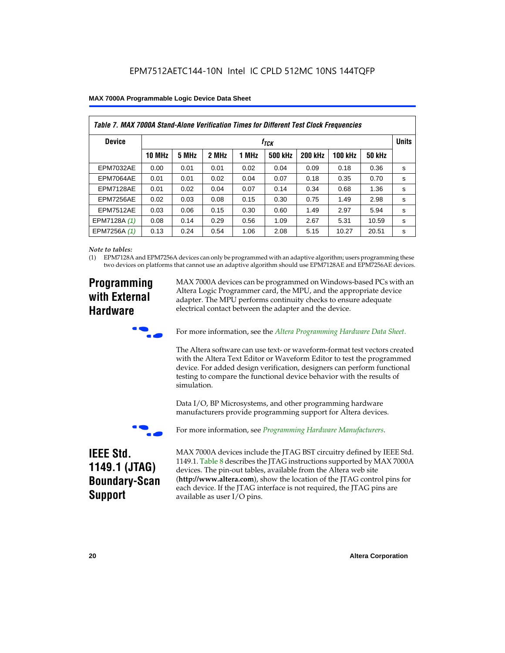| Table 7. MAX 7000A Stand-Alone Verification Times for Different Test Clock Frequencies |               |       |       |       |                  |                |                |               |              |
|----------------------------------------------------------------------------------------|---------------|-------|-------|-------|------------------|----------------|----------------|---------------|--------------|
| <b>Device</b>                                                                          |               |       |       |       | t <sub>тск</sub> |                |                |               | <b>Units</b> |
|                                                                                        | <b>10 MHz</b> | 5 MHz | 2 MHz | 1 MHz | <b>500 kHz</b>   | <b>200 kHz</b> | <b>100 kHz</b> | <b>50 kHz</b> |              |
| <b>EPM7032AE</b>                                                                       | 0.00          | 0.01  | 0.01  | 0.02  | 0.04             | 0.09           | 0.18           | 0.36          | S            |
| EPM7064AE                                                                              | 0.01          | 0.01  | 0.02  | 0.04  | 0.07             | 0.18           | 0.35           | 0.70          | s            |
| EPM7128AE                                                                              | 0.01          | 0.02  | 0.04  | 0.07  | 0.14             | 0.34           | 0.68           | 1.36          | s            |
| EPM7256AE                                                                              | 0.02          | 0.03  | 0.08  | 0.15  | 0.30             | 0.75           | 1.49           | 2.98          | s            |
| <b>EPM7512AE</b>                                                                       | 0.03          | 0.06  | 0.15  | 0.30  | 0.60             | 1.49           | 2.97           | 5.94          | S            |
| EPM7128A (1)                                                                           | 0.08          | 0.14  | 0.29  | 0.56  | 1.09             | 2.67           | 5.31           | 10.59         | S            |
| EPM7256A (1)                                                                           | 0.13          | 0.24  | 0.54  | 1.06  | 2.08             | 5.15           | 10.27          | 20.51         | s            |

#### *Note to tables:*

(1) EPM7128A and EPM7256A devices can only be programmed with an adaptive algorithm; users programming these two devices on platforms that cannot use an adaptive algorithm should use EPM7128AE and EPM7256AE devices.

### **Programming with External Hardware**

MAX 7000A devices can be programmed on Windows-based PCs with an Altera Logic Programmer card, the MPU, and the appropriate device adapter. The MPU performs continuity checks to ensure adequate electrical contact between the adapter and the device.



For more information, see the *Altera Programming Hardware Data Sheet*.

The Altera software can use text- or waveform-format test vectors created with the Altera Text Editor or Waveform Editor to test the programmed device. For added design verification, designers can perform functional testing to compare the functional device behavior with the results of simulation.

Data I/O, BP Microsystems, and other programming hardware manufacturers provide programming support for Altera devices.



For more information, see *Programming Hardware Manufacturers*.

### **IEEE Std. 1149.1 (JTAG) Boundary-Scan Support**

MAX 7000A devices include the JTAG BST circuitry defined by IEEE Std. 1149.1. Table 8 describes the JTAG instructions supported by MAX 7000A devices. The pin-out tables, available from the Altera web site (**http://www.altera.com**), show the location of the JTAG control pins for each device. If the JTAG interface is not required, the JTAG pins are available as user I/O pins.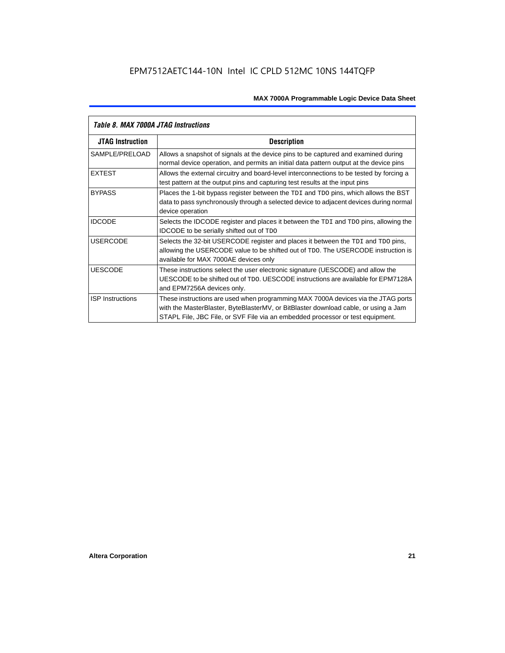| Table 8. MAX 7000A JTAG Instructions |                                                                                                                                                                                                                                                            |  |  |  |  |
|--------------------------------------|------------------------------------------------------------------------------------------------------------------------------------------------------------------------------------------------------------------------------------------------------------|--|--|--|--|
| <b>JTAG Instruction</b>              | <b>Description</b>                                                                                                                                                                                                                                         |  |  |  |  |
| SAMPLE/PRELOAD                       | Allows a snapshot of signals at the device pins to be captured and examined during<br>normal device operation, and permits an initial data pattern output at the device pins                                                                               |  |  |  |  |
| <b>EXTEST</b>                        | Allows the external circuitry and board-level interconnections to be tested by forcing a<br>test pattern at the output pins and capturing test results at the input pins                                                                                   |  |  |  |  |
| <b>BYPASS</b>                        | Places the 1-bit bypass register between the TDI and TDO pins, which allows the BST<br>data to pass synchronously through a selected device to adjacent devices during normal<br>device operation                                                          |  |  |  |  |
| <b>IDCODE</b>                        | Selects the IDCODE register and places it between the TDI and TDO pins, allowing the<br><b>IDCODE</b> to be serially shifted out of TDO                                                                                                                    |  |  |  |  |
| <b>USERCODE</b>                      | Selects the 32-bit USERCODE register and places it between the TDI and TDO pins,<br>allowing the USERCODE value to be shifted out of TDO. The USERCODE instruction is<br>available for MAX 7000AE devices only                                             |  |  |  |  |
| <b>UESCODE</b>                       | These instructions select the user electronic signature (UESCODE) and allow the<br>UESCODE to be shifted out of TDO, UESCODE instructions are available for EPM7128A<br>and EPM7256A devices only.                                                         |  |  |  |  |
| <b>ISP Instructions</b>              | These instructions are used when programming MAX 7000A devices via the JTAG ports<br>with the MasterBlaster, ByteBlasterMV, or BitBlaster download cable, or using a Jam<br>STAPL File, JBC File, or SVF File via an embedded processor or test equipment. |  |  |  |  |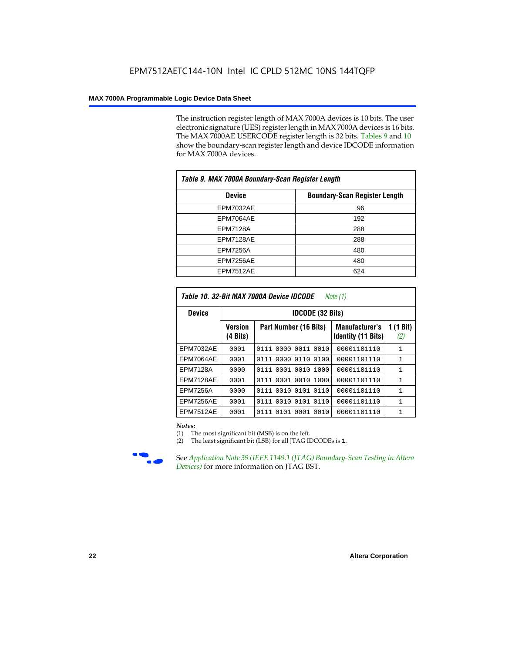The instruction register length of MAX 7000A devices is 10 bits. The user electronic signature (UES) register length in MAX 7000A devices is 16 bits. The MAX 7000AE USERCODE register length is 32 bits. Tables 9 and 10 show the boundary-scan register length and device IDCODE information for MAX 7000A devices.

| Table 9. MAX 7000A Boundary-Scan Register Length |                                      |  |  |  |  |
|--------------------------------------------------|--------------------------------------|--|--|--|--|
| <b>Device</b>                                    | <b>Boundary-Scan Register Length</b> |  |  |  |  |
| <b>EPM7032AE</b>                                 | 96                                   |  |  |  |  |
| EPM7064AE                                        | 192                                  |  |  |  |  |
| <b>EPM7128A</b>                                  | 288                                  |  |  |  |  |
| EPM7128AE                                        | 288                                  |  |  |  |  |
| <b>EPM7256A</b>                                  | 480                                  |  |  |  |  |
| EPM7256AE                                        | 480                                  |  |  |  |  |
| EPM7512AE                                        | 624                                  |  |  |  |  |

| Table 10. 32-Bit MAX 7000A Device IDCODE<br>Note $(1)$ |                            |                           |                                                    |                               |  |  |  |  |  |
|--------------------------------------------------------|----------------------------|---------------------------|----------------------------------------------------|-------------------------------|--|--|--|--|--|
| <b>Device</b>                                          |                            | <b>IDCODE (32 Bits)</b>   |                                                    |                               |  |  |  |  |  |
|                                                        | <b>Version</b><br>(4 Bits) | Part Number (16 Bits)     | <b>Manufacturer's</b><br><b>Identity (11 Bits)</b> | $(1 \text{ Bit})$<br>1<br>(2) |  |  |  |  |  |
| <b>EPM7032AE</b>                                       | 0001                       | 0000 0011<br>0111<br>0010 | 00001101110                                        | 1                             |  |  |  |  |  |
| EPM7064AE                                              | 0001                       | 0111 0000 0110 0100       | 00001101110                                        | 1                             |  |  |  |  |  |
| <b>EPM7128A</b>                                        | 0000                       | 0111 0001 0010 1000       | 00001101110                                        | $\mathbf{1}$                  |  |  |  |  |  |
| EPM7128AE                                              | 0001                       | 0111 0001 0010 1000       | 00001101110                                        | $\mathbf{1}$                  |  |  |  |  |  |
| EPM7256A                                               | 0000                       | 0010 0101<br>0110<br>0111 | 00001101110                                        | 1                             |  |  |  |  |  |
| EPM7256AE                                              | 0001                       | 0010 0101<br>0110<br>0111 | 00001101110                                        | $\mathbf{1}$                  |  |  |  |  |  |
| <b>EPM7512AE</b>                                       | 0001                       | 0101 0001 0010<br>0111    | 00001101110                                        | 1                             |  |  |  |  |  |

#### *Notes:*

(1) The most significant bit (MSB) is on the left.

(2) The least significant bit (LSB) for all JTAG IDCODEs is 1.



**f See Application Note 39 (IEEE 1149.1 (JTAG) Boundary-Scan Testing in Altera** *Devices)* for more information on JTAG BST.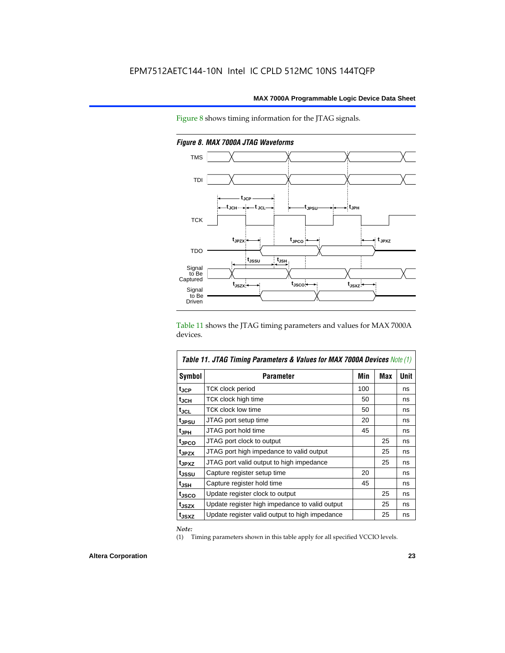



*Figure 8. MAX 7000A JTAG Waveforms*

Table 11 shows the JTAG timing parameters and values for MAX 7000A devices.

| <b>Table 11. JTAG Timing Parameters &amp; Values for MAX 7000A Devices Note (1)</b> |                                                |     |     |      |  |  |  |
|-------------------------------------------------------------------------------------|------------------------------------------------|-----|-----|------|--|--|--|
| Symbol                                                                              | <b>Parameter</b>                               | Min | Max | Unit |  |  |  |
| t <sub>JCP</sub>                                                                    | TCK clock period                               | 100 |     | ns   |  |  |  |
| t <sub>JCH</sub>                                                                    | TCK clock high time                            | 50  |     | ns   |  |  |  |
| tjcl                                                                                | TCK clock low time                             | 50  |     | ns   |  |  |  |
| tjpsu                                                                               | JTAG port setup time                           | 20  |     | ns   |  |  |  |
| t <sub>JPH</sub>                                                                    | JTAG port hold time                            | 45  |     | ns   |  |  |  |
| tjpco                                                                               | JTAG port clock to output                      |     | 25  | ns   |  |  |  |
| t <sub>JPZX</sub>                                                                   | JTAG port high impedance to valid output       |     | 25  | ns   |  |  |  |
| t <sub>JPXZ</sub>                                                                   | JTAG port valid output to high impedance       |     | 25  | ns   |  |  |  |
| tjssu                                                                               | Capture register setup time                    | 20  |     | ns   |  |  |  |
| t <sub>JSH</sub>                                                                    | Capture register hold time                     | 45  |     | ns   |  |  |  |
| t <sub>JSCO</sub>                                                                   | Update register clock to output                |     | 25  | ns   |  |  |  |
| t <sub>JSZX</sub>                                                                   | Update register high impedance to valid output |     | 25  | ns   |  |  |  |
| t <sub>JSXZ</sub>                                                                   | Update register valid output to high impedance |     | 25  | ns   |  |  |  |

*Note:*

(1) Timing parameters shown in this table apply for all specified VCCIO levels.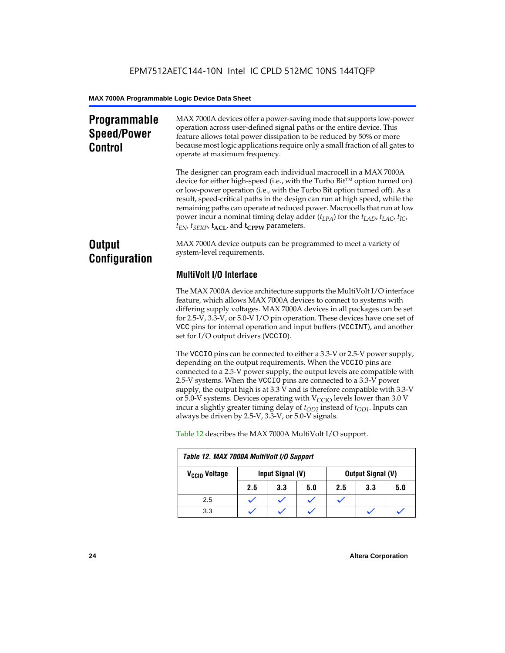### **Programmable Speed/Power Control**

MAX 7000A devices offer a power-saving mode that supports low-power operation across user-defined signal paths or the entire device. This feature allows total power dissipation to be reduced by 50% or more because most logic applications require only a small fraction of all gates to operate at maximum frequency.

The designer can program each individual macrocell in a MAX 7000A device for either high-speed (i.e., with the Turbo  $Bit^{TM}$  option turned on) or low-power operation (i.e., with the Turbo Bit option turned off). As a result, speed-critical paths in the design can run at high speed, while the remaining paths can operate at reduced power. Macrocells that run at low power incur a nominal timing delay adder (*tLPA*) for the *tLAD*, *tLAC*, *tIC*,  $t_{EN}$ ,  $t_{SEXP}$ ,  $t_{ACL}$ , and  $t_{CPPW}$  parameters.

### **Output Configuration**

MAX 7000A device outputs can be programmed to meet a variety of system-level requirements.

### **MultiVolt I/O Interface**

The MAX 7000A device architecture supports the MultiVolt I/O interface feature, which allows MAX 7000A devices to connect to systems with differing supply voltages. MAX 7000A devices in all packages can be set for 2.5-V, 3.3-V, or 5.0-V I/O pin operation. These devices have one set of VCC pins for internal operation and input buffers (VCCINT), and another set for I/O output drivers (VCCIO).

The VCCIO pins can be connected to either a 3.3-V or 2.5-V power supply, depending on the output requirements. When the VCCIO pins are connected to a 2.5-V power supply, the output levels are compatible with 2.5-V systems. When the VCCIO pins are connected to a 3.3-V power supply, the output high is at 3.3 V and is therefore compatible with 3.3-V or 5.0-V systems. Devices operating with  $V_{\text{CCIO}}$  levels lower than 3.0 V incur a slightly greater timing delay of  $t_{OD2}$  instead of  $t_{OD1}$ . Inputs can always be driven by 2.5-V, 3.3-V, or 5.0-V signals.

| Table 12. MAX 7000A MultiVolt I/O Support |     |                                              |     |     |     |     |
|-------------------------------------------|-----|----------------------------------------------|-----|-----|-----|-----|
| V <sub>CCIO</sub> Voltage                 |     | Input Signal (V)<br><b>Output Signal (V)</b> |     |     |     |     |
|                                           | 2.5 | 3.3                                          | 5.0 | 2.5 | 3.3 | 5.0 |
| 2.5                                       |     |                                              |     |     |     |     |
| 3.3                                       |     |                                              |     |     |     |     |

Table 12 describes the MAX 7000A MultiVolt I/O support.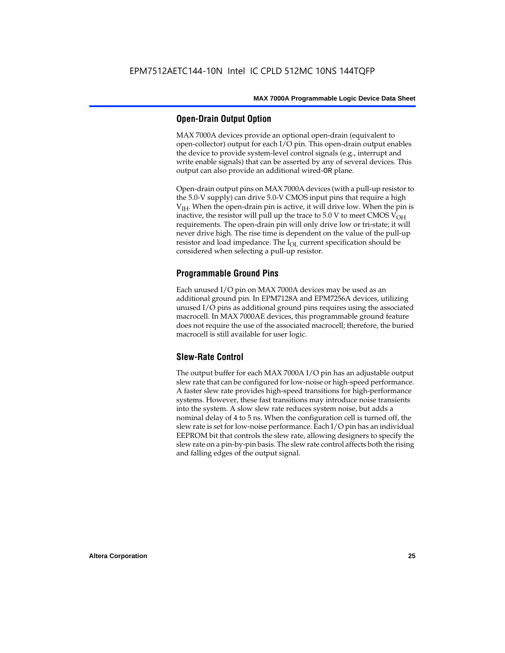#### **Open-Drain Output Option**

MAX 7000A devices provide an optional open-drain (equivalent to open-collector) output for each I/O pin. This open-drain output enables the device to provide system-level control signals (e.g., interrupt and write enable signals) that can be asserted by any of several devices. This output can also provide an additional wired-OR plane.

Open-drain output pins on MAX 7000A devices (with a pull-up resistor to the 5.0-V supply) can drive 5.0-V CMOS input pins that require a high  $V<sub>IH</sub>$ . When the open-drain pin is active, it will drive low. When the pin is inactive, the resistor will pull up the trace to  $5.0$  V to meet CMOS V<sub>OH</sub> requirements. The open-drain pin will only drive low or tri-state; it will never drive high. The rise time is dependent on the value of the pull-up resistor and load impedance. The  $I_{OL}$  current specification should be considered when selecting a pull-up resistor.

### **Programmable Ground Pins**

Each unused I/O pin on MAX 7000A devices may be used as an additional ground pin. In EPM7128A and EPM7256A devices, utilizing unused I/O pins as additional ground pins requires using the associated macrocell. In MAX 7000AE devices, this programmable ground feature does not require the use of the associated macrocell; therefore, the buried macrocell is still available for user logic.

#### **Slew-Rate Control**

The output buffer for each MAX 7000A I/O pin has an adjustable output slew rate that can be configured for low-noise or high-speed performance. A faster slew rate provides high-speed transitions for high-performance systems. However, these fast transitions may introduce noise transients into the system. A slow slew rate reduces system noise, but adds a nominal delay of 4 to 5 ns. When the configuration cell is turned off, the slew rate is set for low-noise performance. Each I/O pin has an individual EEPROM bit that controls the slew rate, allowing designers to specify the slew rate on a pin-by-pin basis. The slew rate control affects both the rising and falling edges of the output signal.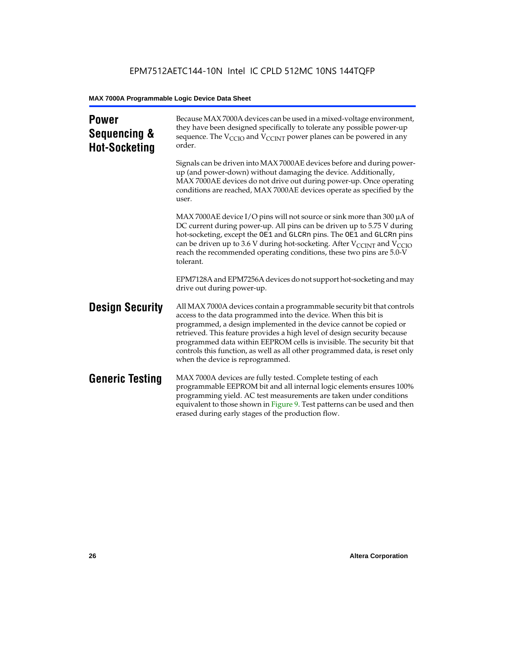| <b>Power</b><br>Sequencing &<br><b>Hot-Socketing</b> | Because MAX 7000A devices can be used in a mixed-voltage environment,<br>they have been designed specifically to tolerate any possible power-up<br>sequence. The $V_{\text{CCIO}}$ and $V_{\text{CCINT}}$ power planes can be powered in any<br>order.                                                                                                                                                                                                                                     |
|------------------------------------------------------|--------------------------------------------------------------------------------------------------------------------------------------------------------------------------------------------------------------------------------------------------------------------------------------------------------------------------------------------------------------------------------------------------------------------------------------------------------------------------------------------|
|                                                      | Signals can be driven into MAX 7000AE devices before and during power-<br>up (and power-down) without damaging the device. Additionally,<br>MAX 7000AE devices do not drive out during power-up. Once operating<br>conditions are reached, MAX 7000AE devices operate as specified by the<br>user.                                                                                                                                                                                         |
|                                                      | MAX 7000AE device I/O pins will not source or sink more than 300 µA of<br>DC current during power-up. All pins can be driven up to 5.75 V during<br>hot-socketing, except the OE1 and GLCRn pins. The OE1 and GLCRn pins<br>can be driven up to 3.6 V during hot-socketing. After $V_{\text{CCINT}}$ and $V_{\text{CCIO}}$<br>reach the recommended operating conditions, these two pins are 5.0-V<br>tolerant.                                                                            |
|                                                      | EPM7128A and EPM7256A devices do not support hot-socketing and may<br>drive out during power-up.                                                                                                                                                                                                                                                                                                                                                                                           |
| <b>Design Security</b>                               | All MAX 7000A devices contain a programmable security bit that controls<br>access to the data programmed into the device. When this bit is<br>programmed, a design implemented in the device cannot be copied or<br>retrieved. This feature provides a high level of design security because<br>programmed data within EEPROM cells is invisible. The security bit that<br>controls this function, as well as all other programmed data, is reset only<br>when the device is reprogrammed. |
| <b>Generic Testing</b>                               | MAX 7000A devices are fully tested. Complete testing of each<br>programmable EEPROM bit and all internal logic elements ensures 100%<br>programming yield. AC test measurements are taken under conditions<br>equivalent to those shown in Figure 9. Test patterns can be used and then<br>erased during early stages of the production flow.                                                                                                                                              |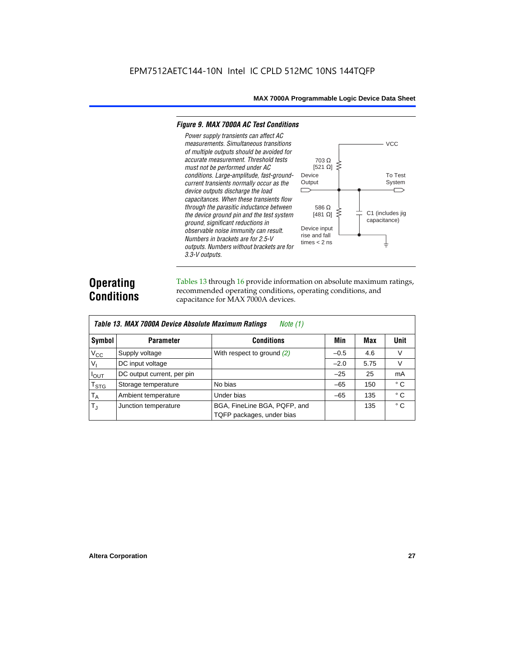#### *Figure 9. MAX 7000A AC Test Conditions*

*3.3-V outputs.*



### **Operating Conditions**

Tables 13 through 16 provide information on absolute maximum ratings, recommended operating conditions, operating conditions, and capacitance for MAX 7000A devices.

|                | Table 13. MAX 7000A Device Absolute Maximum Ratings<br>Note $(1)$ |                                                           |        |      |              |  |  |  |  |  |  |
|----------------|-------------------------------------------------------------------|-----------------------------------------------------------|--------|------|--------------|--|--|--|--|--|--|
| Symbol         | <b>Parameter</b>                                                  | <b>Conditions</b>                                         | Min    | Max  | Unit         |  |  |  |  |  |  |
| $V_{CC}$       | Supply voltage                                                    | With respect to ground $(2)$                              | $-0.5$ | 4.6  | V            |  |  |  |  |  |  |
| V <sub>1</sub> | DC input voltage                                                  |                                                           | $-2.0$ | 5.75 | V            |  |  |  |  |  |  |
| $I_{OUT}$      | DC output current, per pin                                        |                                                           | $-25$  | 25   | mA           |  |  |  |  |  |  |
| $T_{STG}$      | Storage temperature                                               | No bias                                                   | $-65$  | 150  | $^{\circ}$ C |  |  |  |  |  |  |
| $T_A$          | Ambient temperature                                               | Under bias                                                | $-65$  | 135  | ° C          |  |  |  |  |  |  |
| $T_{\rm J}$    | Junction temperature                                              | BGA, FineLine BGA, PQFP, and<br>TQFP packages, under bias |        | 135  | $^{\circ}$ C |  |  |  |  |  |  |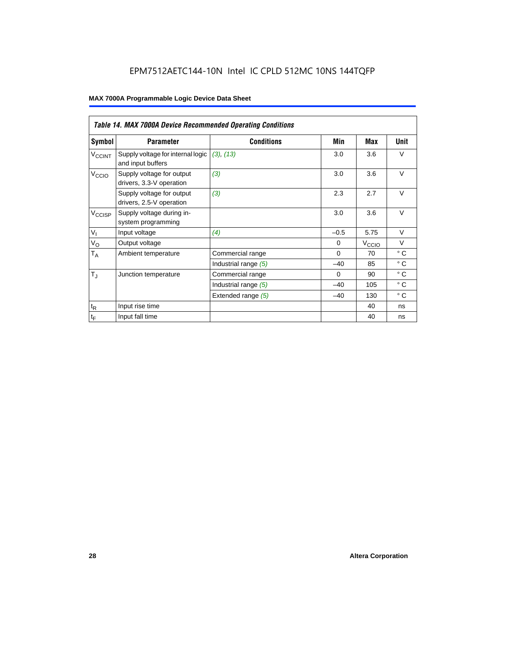|                             | <b>Table 14. MAX 7000A Device Recommended Operating Conditions</b> |                      |          |                   |              |  |  |  |  |  |
|-----------------------------|--------------------------------------------------------------------|----------------------|----------|-------------------|--------------|--|--|--|--|--|
| Symbol                      | <b>Parameter</b>                                                   | <b>Conditions</b>    | Min      | Max               | Unit         |  |  |  |  |  |
| <b>V<sub>CCINT</sub></b>    | Supply voltage for internal logic<br>and input buffers             | (3), (13)            | 3.0      | 3.6               | $\vee$       |  |  |  |  |  |
| V <sub>CCIO</sub>           | Supply voltage for output<br>drivers, 3.3-V operation              | (3)                  | 3.0      | 3.6               | $\vee$       |  |  |  |  |  |
|                             | Supply voltage for output<br>drivers, 2.5-V operation              | (3)                  | 2.3      | 2.7               | $\vee$       |  |  |  |  |  |
| $V_{\text{CCISP}}$          | Supply voltage during in-<br>system programming                    |                      | 3.0      | 3.6               | $\vee$       |  |  |  |  |  |
| $V_{I}$                     | Input voltage                                                      | (4)                  | $-0.5$   | 5.75              | $\vee$       |  |  |  |  |  |
| $V_{\rm O}$                 | Output voltage                                                     |                      | $\Omega$ | V <sub>ccio</sub> | $\vee$       |  |  |  |  |  |
| $T_A$                       | Ambient temperature                                                | Commercial range     | $\Omega$ | 70                | $^{\circ}$ C |  |  |  |  |  |
|                             |                                                                    | Industrial range (5) | $-40$    | 85                | $^{\circ}$ C |  |  |  |  |  |
| $T_{\rm J}$                 | Junction temperature                                               | Commercial range     | $\Omega$ | 90                | $^{\circ}$ C |  |  |  |  |  |
|                             |                                                                    | Industrial range (5) | $-40$    | 105               | $^{\circ}$ C |  |  |  |  |  |
|                             |                                                                    | Extended range (5)   | $-40$    | 130               | $^{\circ}$ C |  |  |  |  |  |
| $t_{\mathsf{R}}$            | Input rise time                                                    |                      |          | 40                | ns           |  |  |  |  |  |
| $\mathfrak{t}_{\mathsf{F}}$ | Input fall time                                                    |                      |          | 40                | ns           |  |  |  |  |  |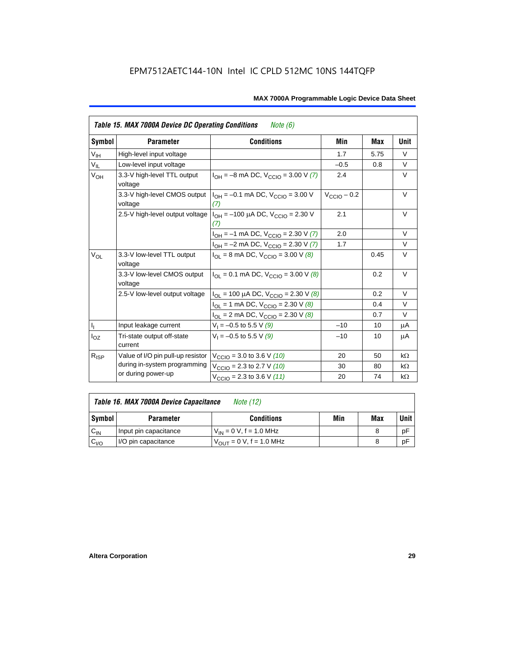|                         | <b>Table 15. MAX 7000A Device DC Operating Conditions</b><br>Note (6) |                                                                                        |                         |      |           |  |  |  |  |  |
|-------------------------|-----------------------------------------------------------------------|----------------------------------------------------------------------------------------|-------------------------|------|-----------|--|--|--|--|--|
| Symbol                  | <b>Parameter</b>                                                      | <b>Conditions</b>                                                                      | Min                     | Max  | Unit      |  |  |  |  |  |
| $V_{\text{IH}}$         | High-level input voltage                                              |                                                                                        | 1.7                     | 5.75 | $\vee$    |  |  |  |  |  |
| $V_{IL}$                | Low-level input voltage                                               |                                                                                        | $-0.5$                  | 0.8  | V         |  |  |  |  |  |
| $V_{OH}$                | 3.3-V high-level TTL output<br>voltage                                | $I_{OH} = -8$ mA DC, $V_{CClO} = 3.00$ V (7)                                           | 2.4                     |      | $\vee$    |  |  |  |  |  |
|                         | 3.3-V high-level CMOS output<br>voltage                               | $I_{OH} = -0.1$ mA DC, $V_{CCD} = 3.00$ V<br>(7)                                       | $V_{\text{CCIO}} - 0.2$ |      | V         |  |  |  |  |  |
|                         |                                                                       | 2.5-V high-level output voltage $ I_{OH} = -100 \mu A DC$ , $V_{CClO} = 2.30 V$<br>(7) | 2.1                     |      | V         |  |  |  |  |  |
|                         |                                                                       | $I_{OH} = -1$ mA DC, $V_{CCIO} = 2.30$ V (7)                                           | 2.0                     |      | $\vee$    |  |  |  |  |  |
|                         |                                                                       | $I_{OH} = -2$ mA DC, $V_{CCIO} = 2.30$ V (7)                                           | 1.7                     |      | $\vee$    |  |  |  |  |  |
| $V_{OL}$                | 3.3-V low-level TTL output<br>voltage                                 | $I_{OL}$ = 8 mA DC, $V_{CCIO}$ = 3.00 V (8)                                            |                         | 0.45 | $\vee$    |  |  |  |  |  |
|                         | 3.3-V low-level CMOS output<br>voltage                                | $I_{\text{OI}} = 0.1 \text{ mA DC}$ , $V_{\text{CCIO}} = 3.00 \text{ V}$ (8)           |                         | 0.2  | V         |  |  |  |  |  |
|                         | 2.5-V low-level output voltage                                        | $I_{OL}$ = 100 µA DC, $V_{CCIO}$ = 2.30 V (8)                                          |                         | 0.2  | $\vee$    |  |  |  |  |  |
|                         |                                                                       | $I_{OL}$ = 1 mA DC, $V_{CCIO}$ = 2.30 V (8)                                            |                         | 0.4  | $\vee$    |  |  |  |  |  |
|                         |                                                                       | $I_{OL}$ = 2 mA DC, $V_{CCIO}$ = 2.30 V (8)                                            |                         | 0.7  | V         |  |  |  |  |  |
| $\mathsf{I}_\mathrm{I}$ | Input leakage current                                                 | $V_1 = -0.5$ to 5.5 V (9)                                                              | $-10$                   | 10   | μA        |  |  |  |  |  |
| $I_{OZ}$                | Tri-state output off-state<br>current                                 | $V_1 = -0.5$ to 5.5 V (9)                                                              | $-10$                   | 10   | μA        |  |  |  |  |  |
| $R_{ISP}$               | Value of I/O pin pull-up resistor                                     | $V_{\text{CCIO}} = 3.0$ to 3.6 V (10)                                                  | 20                      | 50   | $k\Omega$ |  |  |  |  |  |
|                         | during in-system programming                                          | $V_{\text{CCIO}}$ = 2.3 to 2.7 V (10)                                                  | 30                      | 80   | $k\Omega$ |  |  |  |  |  |
|                         | or during power-up                                                    | $V_{\text{CCIO}} = 2.3$ to 3.6 V (11)                                                  | 20                      | 74   | $k\Omega$ |  |  |  |  |  |

| Table 16. MAX 7000A Device Capacitance | Note (12) |
|----------------------------------------|-----------|
|                                        |           |

| <b>Symbol</b> | <b>Parameter</b>      | <b>Conditions</b>                   | Min | Max | Unit |
|---------------|-----------------------|-------------------------------------|-----|-----|------|
| $C_{IN}$      | Input pin capacitance | $V_{IN} = 0$ V, f = 1.0 MHz         |     |     | рF   |
| $v_{I/O}$     | I/O pin capacitance   | $V_{\text{OUT}} = 0 V, f = 1.0 MHz$ |     |     | рF   |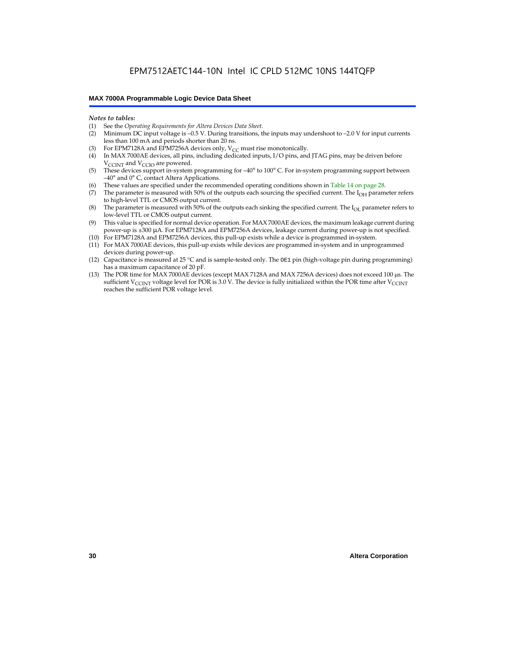#### *Notes to tables:*

- (1) See the *Operating Requirements for Altera Devices Data Sheet.*
- Minimum DC input voltage is –0.5 V. During transitions, the inputs may undershoot to –2.0 V for input currents less than 100 mA and periods shorter than 20 ns.
- (3) For EPM7128A and EPM7256A devices only,  $V_{CC}$  must rise monotonically.
- (4) In MAX 7000AE devices, all pins, including dedicated inputs, I/O pins, and JTAG pins, may be driven before V<sub>CCINT</sub> and V<sub>CCIO</sub> are powered.
- (5) These devices support in-system programming for –40° to 100° C. For in-system programming support between –40° and 0° C, contact Altera Applications.
- (6) These values are specified under the recommended operating conditions shown in Table 14 on page 28.
- (7) The parameter is measured with 50% of the outputs each sourcing the specified current. The  $I_{OH}$  parameter refers to high-level TTL or CMOS output current.
- (8) The parameter is measured with 50% of the outputs each sinking the specified current. The  $I_{OL}$  parameter refers to low-level TTL or CMOS output current.
- (9) This value is specified for normal device operation. For MAX 7000AE devices, the maximum leakage current during power-up is ±300 µA. For EPM7128A and EPM7256A devices, leakage current during power-up is not specified.
- (10) For EPM7128A and EPM7256A devices, this pull-up exists while a device is programmed in-system.
- (11) For MAX 7000AE devices, this pull-up exists while devices are programmed in-system and in unprogrammed devices during power-up.
- (12) Capacitance is measured at 25 °C and is sample-tested only. The OE1 pin (high-voltage pin during programming) has a maximum capacitance of 20 pF.
- (13) The POR time for MAX 7000AE devices (except MAX 7128A and MAX 7256A devices) does not exceed 100 µs. The sufficient V<sub>CCINT</sub> voltage level for POR is 3.0 V. The device is fully initialized within the POR time after V<sub>CCINT</sub> reaches the sufficient POR voltage level.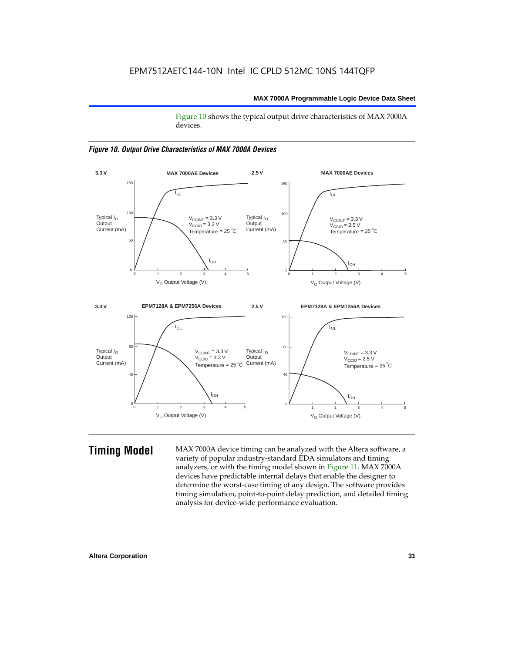Figure 10 shows the typical output drive characteristics of MAX 7000A devices.





**Timing Model** MAX 7000A device timing can be analyzed with the Altera software, a variety of popular industry-standard EDA simulators and timing analyzers, or with the timing model shown in Figure 11. MAX 7000A devices have predictable internal delays that enable the designer to determine the worst-case timing of any design. The software provides timing simulation, point-to-point delay prediction, and detailed timing analysis for device-wide performance evaluation.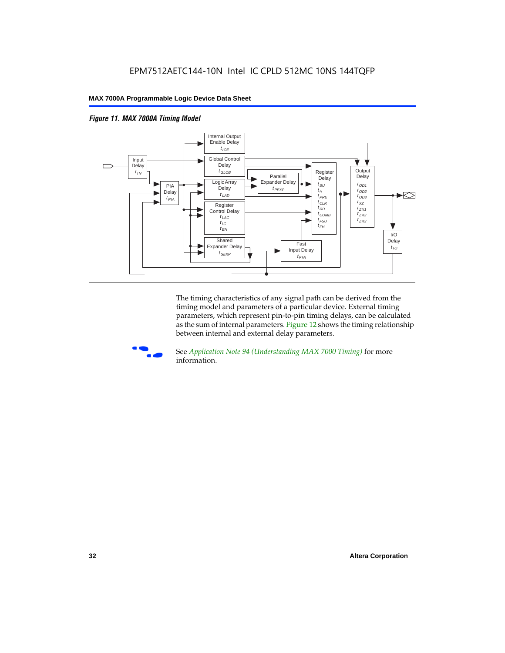



The timing characteristics of any signal path can be derived from the timing model and parameters of a particular device. External timing parameters, which represent pin-to-pin timing delays, can be calculated as the sum of internal parameters. Figure 12 shows the timing relationship between internal and external delay parameters.



f See *Application Note 94 (Understanding MAX 7000 Timing)* for more information.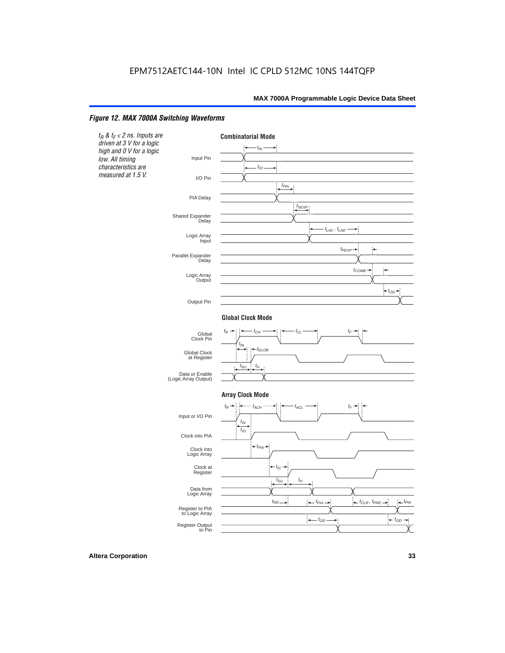#### *Figure 12. MAX 7000A Switching Waveforms*

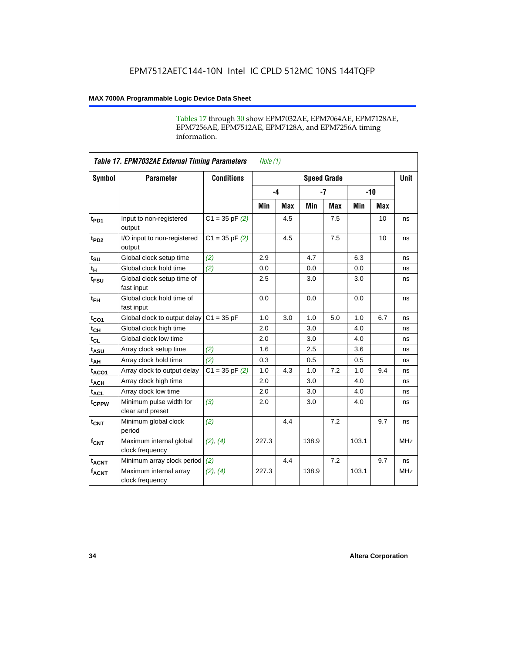Tables 17 through 30 show EPM7032AE, EPM7064AE, EPM7128AE, EPM7256AE, EPM7512AE, EPM7128A, and EPM7256A timing information.

|                         | <b>Table 17. EPM7032AE External Timing Parameters</b><br>Note $(1)$ |                    |       |      |                    |            |       |       |             |  |
|-------------------------|---------------------------------------------------------------------|--------------------|-------|------|--------------------|------------|-------|-------|-------------|--|
| Symbol                  | <b>Parameter</b>                                                    | <b>Conditions</b>  |       |      | <b>Speed Grade</b> |            |       |       | <b>Unit</b> |  |
|                         |                                                                     |                    |       | $-4$ |                    | $-7$       |       | $-10$ |             |  |
|                         |                                                                     |                    | Min   | Max  | Min                | <b>Max</b> | Min   | Max   |             |  |
| t <sub>PD1</sub>        | Input to non-registered<br>output                                   | $C1 = 35$ pF $(2)$ |       | 4.5  |                    | 7.5        |       | 10    | ns          |  |
| $t_{PD2}$               | I/O input to non-registered<br>output                               | $C1 = 35 pF(2)$    |       | 4.5  |                    | 7.5        |       | 10    | ns          |  |
| $t_{\text{SU}}$         | Global clock setup time                                             | (2)                | 2.9   |      | 4.7                |            | 6.3   |       | ns          |  |
| $t_H$                   | Global clock hold time                                              | (2)                | 0.0   |      | 0.0                |            | 0.0   |       | ns          |  |
| t <sub>FSU</sub>        | Global clock setup time of<br>fast input                            |                    | 2.5   |      | 3.0                |            | 3.0   |       | ns          |  |
| $t_{FH}$                | Global clock hold time of<br>fast input                             |                    | 0.0   |      | 0.0                |            | 0.0   |       | ns          |  |
| $t_{CO1}$               | Global clock to output delay                                        | $C1 = 35 pF$       | 1.0   | 3.0  | 1.0                | 5.0        | 1.0   | 6.7   | ns          |  |
| $t_{CH}$                | Global clock high time                                              |                    | 2.0   |      | 3.0                |            | 4.0   |       | ns          |  |
| $t_{CL}$                | Global clock low time                                               |                    | 2.0   |      | 3.0                |            | 4.0   |       | ns          |  |
| t <sub>ASU</sub>        | Array clock setup time                                              | (2)                | 1.6   |      | 2.5                |            | 3.6   |       | ns          |  |
| t <sub>АН</sub>         | Array clock hold time                                               | (2)                | 0.3   |      | 0.5                |            | 0.5   |       | ns          |  |
| t <sub>ACO1</sub>       | Array clock to output delay                                         | $C1 = 35$ pF $(2)$ | 1.0   | 4.3  | 1.0                | 7.2        | 1.0   | 9.4   | ns          |  |
| $t_{ACH}$               | Array clock high time                                               |                    | 2.0   |      | 3.0                |            | 4.0   |       | ns          |  |
| $t_{ACL}$               | Array clock low time                                                |                    | 2.0   |      | 3.0                |            | 4.0   |       | ns          |  |
| tcPPW                   | Minimum pulse width for<br>clear and preset                         | (3)                | 2.0   |      | 3.0                |            | 4.0   |       | ns          |  |
| $t_{CNT}$               | Minimum global clock<br>period                                      | (2)                |       | 4.4  |                    | 7.2        |       | 9.7   | ns          |  |
| $f_{CNT}$               | Maximum internal global<br>clock frequency                          | (2), (4)           | 227.3 |      | 138.9              |            | 103.1 |       | <b>MHz</b>  |  |
| <b>t<sub>ACNT</sub></b> | Minimum array clock period                                          | (2)                |       | 4.4  |                    | 7.2        |       | 9.7   | ns          |  |
| $f_{ACNT}$              | Maximum internal array<br>clock frequency                           | (2), (4)           | 227.3 |      | 138.9              |            | 103.1 |       | <b>MHz</b>  |  |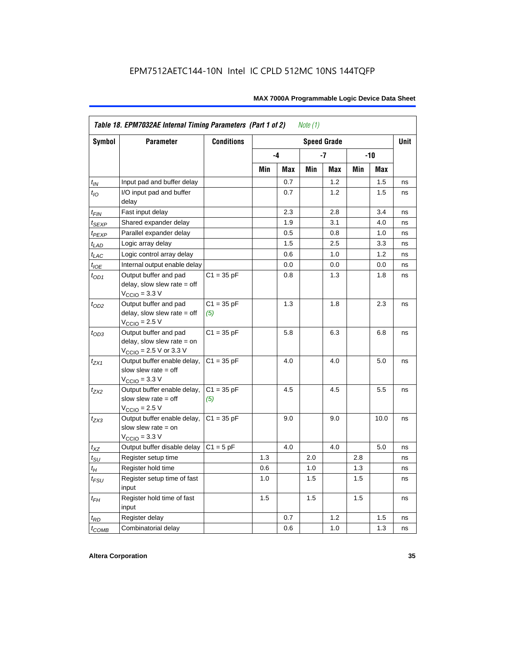|                    | Table 18. EPM7032AE Internal Timing Parameters (Part 1 of 2)<br>Note $(1)$                                   |                     |     |     |     |                    |     |      |             |  |
|--------------------|--------------------------------------------------------------------------------------------------------------|---------------------|-----|-----|-----|--------------------|-----|------|-------------|--|
| Symbol             | <b>Parameter</b>                                                                                             | <b>Conditions</b>   |     |     |     | <b>Speed Grade</b> |     |      | <b>Unit</b> |  |
|                    |                                                                                                              |                     |     | -4  |     | -7                 |     | -10  |             |  |
|                    |                                                                                                              |                     | Min | Max | Min | Max                | Min | Max  |             |  |
| $t_{IN}$           | Input pad and buffer delay                                                                                   |                     |     | 0.7 |     | 1.2                |     | 1.5  | ns          |  |
| $t_{IO}$           | I/O input pad and buffer<br>delay                                                                            |                     |     | 0.7 |     | 1.2                |     | 1.5  | ns          |  |
| $t_{\sf FIN}$      | Fast input delay                                                                                             |                     |     | 2.3 |     | 2.8                |     | 3.4  | ns          |  |
| $t_{SEXP}$         | Shared expander delay                                                                                        |                     |     | 1.9 |     | 3.1                |     | 4.0  | ns          |  |
| $t_{PEXP}$         | Parallel expander delay                                                                                      |                     |     | 0.5 |     | 0.8                |     | 1.0  | ns          |  |
| $t_{LAD}$          | Logic array delay                                                                                            |                     |     | 1.5 |     | 2.5                |     | 3.3  | ns          |  |
| $t_{LAC}$          | Logic control array delay                                                                                    |                     |     | 0.6 |     | 1.0                |     | 1.2  | ns          |  |
| $t_{IOE}$          | Internal output enable delay                                                                                 |                     |     | 0.0 |     | 0.0                |     | 0.0  | ns          |  |
| $t_{OD1}$          | Output buffer and pad<br>delay, slow slew rate $=$ off<br>$V_{\text{CCIO}} = 3.3 \text{ V}$                  | $C1 = 35 pF$        |     | 0.8 |     | 1.3                |     | 1.8  | ns          |  |
| $t_{OD2}$          | Output buffer and pad<br>delay, slow slew rate $=$ off<br>$VCCIO = 2.5 V$                                    | $C1 = 35 pF$<br>(5) |     | 1.3 |     | 1.8                |     | 2.3  | ns          |  |
| $t_{OD3}$          | Output buffer and pad<br>delay, slow slew rate $=$ on<br>$V_{\text{CCIO}} = 2.5 \text{ V or } 3.3 \text{ V}$ | $C1 = 35 pF$        |     | 5.8 |     | 6.3                |     | 6.8  | ns          |  |
| $t_{ZX1}$          | Output buffer enable delay,<br>slow slew rate $=$ off<br>$V_{\text{CCIO}} = 3.3 \text{ V}$                   | $C1 = 35 pF$        |     | 4.0 |     | 4.0                |     | 5.0  | ns          |  |
| t <sub>ZX2</sub>   | Output buffer enable delay,<br>slow slew rate $=$ off<br>$V_{\text{CCIO}}$ = 2.5 V                           | $C1 = 35 pF$<br>(5) |     | 4.5 |     | 4.5                |     | 5.5  | ns          |  |
| $t_{ZX3}$          | Output buffer enable delay,<br>slow slew rate $=$ on<br>$V_{\text{CCIO}} = 3.3 \text{ V}$                    | $C1 = 35 pF$        |     | 9.0 |     | 9.0                |     | 10.0 | ns          |  |
| $t_{XZ}$           | Output buffer disable delay                                                                                  | $C1 = 5pF$          |     | 4.0 |     | 4.0                |     | 5.0  | ns          |  |
| $t_{\text{SU}}$    | Register setup time                                                                                          |                     | 1.3 |     | 2.0 |                    | 2.8 |      | ns          |  |
| $t_H$              | Register hold time                                                                                           |                     | 0.6 |     | 1.0 |                    | 1.3 |      | ns          |  |
| $t_{\mathit{FSU}}$ | Register setup time of fast<br>input                                                                         |                     | 1.0 |     | 1.5 |                    | 1.5 |      | ns          |  |
| $t_{FH}$           | Register hold time of fast<br>input                                                                          |                     | 1.5 |     | 1.5 |                    | 1.5 |      | ns          |  |
| $t_{RD}$           | Register delay                                                                                               |                     |     | 0.7 |     | 1.2                |     | 1.5  | ns          |  |
| $t_{COMB}$         | Combinatorial delay                                                                                          |                     |     | 0.6 |     | 1.0                |     | 1.3  | ns          |  |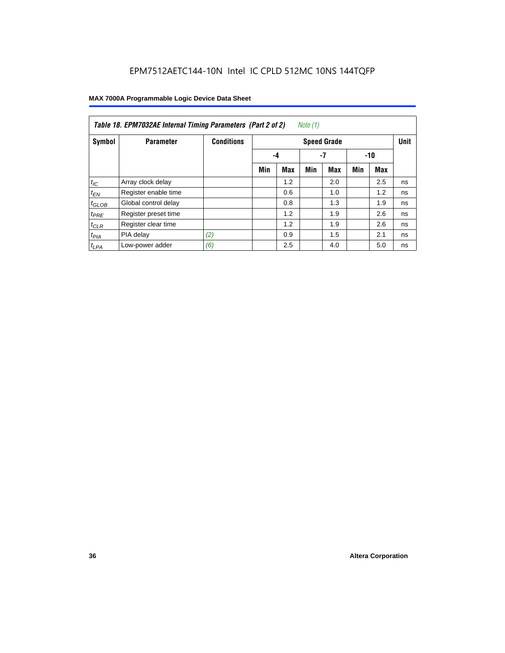| Table 18. EPM7032AE Internal Timing Parameters (Part 2 of 2)<br>Note (1) |                      |                   |                    |            |     |            |     |     |             |
|--------------------------------------------------------------------------|----------------------|-------------------|--------------------|------------|-----|------------|-----|-----|-------------|
| Symbol                                                                   | <b>Parameter</b>     | <b>Conditions</b> | <b>Speed Grade</b> |            |     |            |     |     | <b>Unit</b> |
|                                                                          |                      |                   |                    | -7<br>-4   |     | $-10$      |     |     |             |
|                                                                          |                      |                   | Min                | <b>Max</b> | Min | <b>Max</b> | Min | Max |             |
| $t_{IC}$                                                                 | Array clock delay    |                   |                    | 1.2        |     | 2.0        |     | 2.5 | ns          |
| $t_{EN}$                                                                 | Register enable time |                   |                    | 0.6        |     | 1.0        |     | 1.2 | ns          |
| $t_{GLOB}$                                                               | Global control delay |                   |                    | 0.8        |     | 1.3        |     | 1.9 | ns          |
| $t_{PRE}$                                                                | Register preset time |                   |                    | 1.2        |     | 1.9        |     | 2.6 | ns          |
| $t_{CLR}$                                                                | Register clear time  |                   |                    | 1.2        |     | 1.9        |     | 2.6 | ns          |
| t <sub>PIA</sub>                                                         | PIA delay            | (2)               |                    | 0.9        |     | 1.5        |     | 2.1 | ns          |
| $t_{LPA}$                                                                | Low-power adder      | (6)               |                    | 2.5        |     | 4.0        |     | 5.0 | ns          |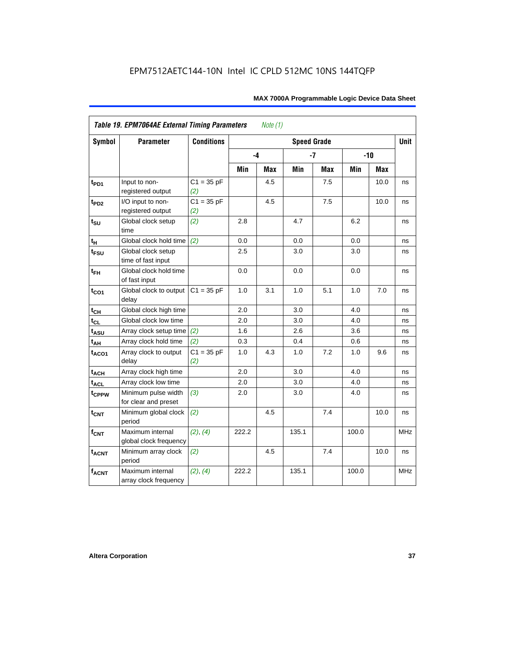| <b>Symbol</b>          | <b>Parameter</b>                            | <b>Conditions</b>   |       |            | <b>Speed Grade</b> |            |       |       | <b>Unit</b> |
|------------------------|---------------------------------------------|---------------------|-------|------------|--------------------|------------|-------|-------|-------------|
|                        |                                             |                     | -4    |            |                    | $-7$       |       | $-10$ |             |
|                        |                                             |                     | Min   | <b>Max</b> | Min                | <b>Max</b> | Min   | Max   |             |
| $t_{PD1}$              | Input to non-<br>registered output          | $C1 = 35 pF$<br>(2) |       | 4.5        |                    | 7.5        |       | 10.0  | ns          |
| t <sub>PD2</sub>       | I/O input to non-<br>registered output      | $C1 = 35 pF$<br>(2) |       | 4.5        |                    | 7.5        |       | 10.0  | ns          |
| $t_{\text{SU}}$        | Global clock setup<br>time                  | (2)                 | 2.8   |            | 4.7                |            | 6.2   |       | ns          |
| $t_H$                  | Global clock hold time                      | (2)                 | 0.0   |            | 0.0                |            | 0.0   |       | ns          |
| t <sub>FSU</sub>       | Global clock setup<br>time of fast input    |                     | 2.5   |            | 3.0                |            | 3.0   |       | ns          |
| $t_{FH}$               | Global clock hold time<br>of fast input     |                     | 0.0   |            | 0.0                |            | 0.0   |       | ns          |
| $t_{CO1}$              | Global clock to output<br>delay             | $C1 = 35 pF$        | 1.0   | 3.1        | 1.0                | 5.1        | 1.0   | 7.0   | ns          |
| $t_{C\underline{H}}$   | Global clock high time                      |                     | 2.0   |            | 3.0                |            | 4.0   |       | ns          |
| $t_{CL}$               | Global clock low time                       |                     | 2.0   |            | 3.0                |            | 4.0   |       | ns          |
| $t_{ASU}$              | Array clock setup time                      | (2)                 | 1.6   |            | 2.6                |            | 3.6   |       | ns          |
| $t_{AH}$               | Array clock hold time                       | (2)                 | 0.3   |            | 0.4                |            | 0.6   |       | ns          |
| t <sub>ACO1</sub>      | Array clock to output<br>delay              | $C1 = 35 pF$<br>(2) | 1.0   | 4.3        | 1.0                | 7.2        | 1.0   | 9.6   | ns          |
| $t_{ACH}$              | Array clock high time                       |                     | 2.0   |            | 3.0                |            | 4.0   |       | ns          |
| <b>t<sub>ACL</sub></b> | Array clock low time                        |                     | 2.0   |            | 3.0                |            | 4.0   |       | ns          |
| tcPPW                  | Minimum pulse width<br>for clear and preset | (3)                 | 2.0   |            | 3.0                |            | 4.0   |       | ns          |
| $t_{\text{CNT}}$       | Minimum global clock<br>period              | (2)                 |       | 4.5        |                    | 7.4        |       | 10.0  | ns          |
| $f_{CNT}$              | Maximum internal<br>global clock frequency  | (2), (4)            | 222.2 |            | 135.1              |            | 100.0 |       | <b>MHz</b>  |
| $t_{ACNT}$             | Minimum array clock<br>period               | (2)                 |       | 4.5        |                    | 7.4        |       | 10.0  | ns          |
| <b>fACNT</b>           | Maximum internal<br>array clock frequency   | (2), (4)            | 222.2 |            | 135.1              |            | 100.0 |       | <b>MHz</b>  |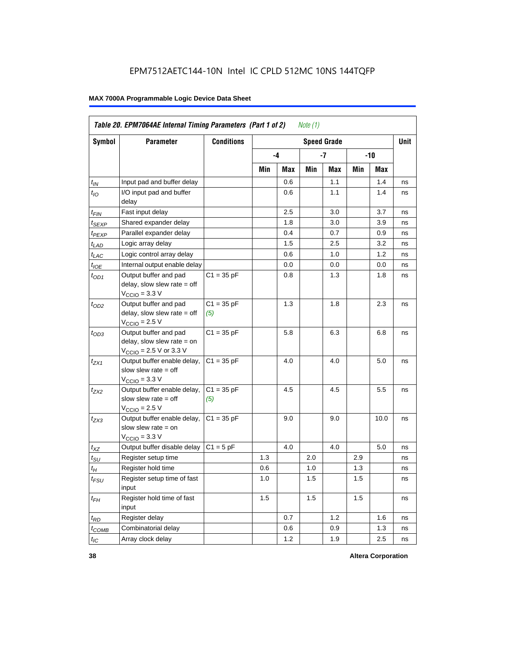|                   | Table 20. EPM7064AE Internal Timing Parameters (Part 1 of 2)<br>Note $(1)$                                   |                     |     |      |     |                    |       |      |             |  |
|-------------------|--------------------------------------------------------------------------------------------------------------|---------------------|-----|------|-----|--------------------|-------|------|-------------|--|
| <b>Symbol</b>     | <b>Parameter</b>                                                                                             | <b>Conditions</b>   |     |      |     | <b>Speed Grade</b> |       |      | <b>Unit</b> |  |
|                   |                                                                                                              |                     |     | $-4$ |     | -7                 | $-10$ |      |             |  |
|                   |                                                                                                              |                     | Min | Max  | Min | Max                | Min   | Max  |             |  |
| $t_{IN}$          | Input pad and buffer delay                                                                                   |                     |     | 0.6  |     | 1.1                |       | 1.4  | ns          |  |
| $t_{IO}$          | I/O input pad and buffer<br>delay                                                                            |                     |     | 0.6  |     | 1.1                |       | 1.4  | ns          |  |
| $t_{FIN}$         | Fast input delay                                                                                             |                     |     | 2.5  |     | 3.0                |       | 3.7  | ns          |  |
| t <sub>SEXP</sub> | Shared expander delay                                                                                        |                     |     | 1.8  |     | 3.0                |       | 3.9  | ns          |  |
| t <sub>PEXP</sub> | Parallel expander delay                                                                                      |                     |     | 0.4  |     | 0.7                |       | 0.9  | ns          |  |
| $t_{LAD}$         | Logic array delay                                                                                            |                     |     | 1.5  |     | 2.5                |       | 3.2  | ns          |  |
| $t_{LAC}$         | Logic control array delay                                                                                    |                     |     | 0.6  |     | 1.0                |       | 1.2  | ns          |  |
| $t_{IOE}$         | Internal output enable delay                                                                                 |                     |     | 0.0  |     | 0.0                |       | 0.0  | ns          |  |
| $t_{OD1}$         | Output buffer and pad<br>delay, slow slew rate $=$ off<br>$V_{\text{CCIO}} = 3.3 \text{ V}$                  | $C1 = 35 pF$        |     | 0.8  |     | 1.3                |       | 1.8  | ns          |  |
| $t_{OD2}$         | Output buffer and pad<br>delay, slow slew rate $=$ off<br>$V_{\text{CCIO}}$ = 2.5 V                          | $C1 = 35 pF$<br>(5) |     | 1.3  |     | 1.8                |       | 2.3  | ns          |  |
| $t_{OD3}$         | Output buffer and pad<br>delay, slow slew rate $=$ on<br>$V_{\text{CCIO}} = 2.5 \text{ V or } 3.3 \text{ V}$ | $C1 = 35 pF$        |     | 5.8  |     | 6.3                |       | 6.8  | ns          |  |
| $t_{ZX1}$         | Output buffer enable delay,<br>slow slew rate $=$ off<br>$V_{\text{CCIO}} = 3.3 \text{ V}$                   | $C1 = 35 pF$        |     | 4.0  |     | 4.0                |       | 5.0  | ns          |  |
| $t_{ZX2}$         | Output buffer enable delay,<br>slow slew rate $=$ off<br>$V_{\text{CCIO}} = 2.5 V$                           | $C1 = 35 pF$<br>(5) |     | 4.5  |     | 4.5                |       | 5.5  | ns          |  |
| $t_{ZX3}$         | Output buffer enable delay,<br>slow slew rate $=$ on<br>$V_{\text{CCIO}} = 3.3 \text{ V}$                    | $C1 = 35 pF$        |     | 9.0  |     | 9.0                |       | 10.0 | ns          |  |
| $t_{XZ}$          | Output buffer disable delay                                                                                  | $C1 = 5pF$          |     | 4.0  |     | 4.0                |       | 5.0  | ns          |  |
| $t_{\text{SU}}$   | Register setup time                                                                                          |                     | 1.3 |      | 2.0 |                    | 2.9   |      | ns          |  |
| $t_H$             | Register hold time                                                                                           |                     | 0.6 |      | 1.0 |                    | 1.3   |      | ns          |  |
| $t_{FSU}$         | Register setup time of fast<br>input                                                                         |                     | 1.0 |      | 1.5 |                    | 1.5   |      | ns          |  |
| $t_{FH}$          | Register hold time of fast<br>input                                                                          |                     | 1.5 |      | 1.5 |                    | 1.5   |      | ns          |  |
| $t_{RD}$          | Register delay                                                                                               |                     |     | 0.7  |     | 1.2                |       | 1.6  | ns          |  |
| $t_{COMB}$        | Combinatorial delay                                                                                          |                     |     | 0.6  |     | 0.9                |       | 1.3  | ns          |  |
| $t_{IC}$          | Array clock delay                                                                                            |                     |     | 1.2  |     | 1.9                |       | 2.5  | ns          |  |

**38 Altera Corporation**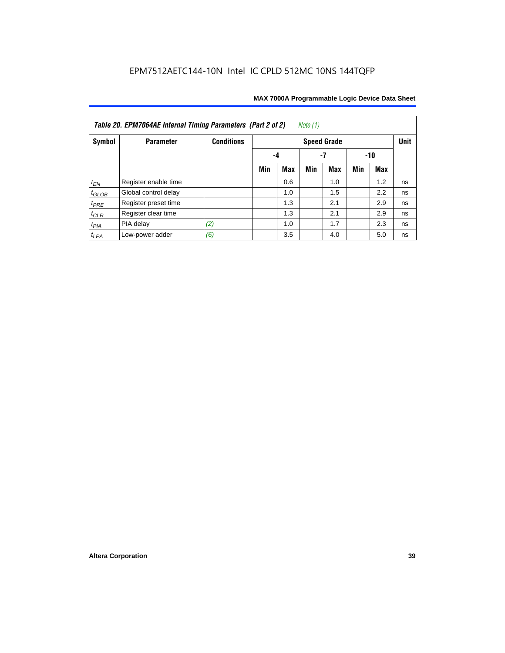| Note $(1)$<br>Table 20. EPM7064AE Internal Timing Parameters (Part 2 of 2) |                      |                   |     |            |     |                    |     |     |             |  |  |
|----------------------------------------------------------------------------|----------------------|-------------------|-----|------------|-----|--------------------|-----|-----|-------------|--|--|
| Symbol                                                                     | <b>Parameter</b>     | <b>Conditions</b> |     |            |     | <b>Speed Grade</b> |     |     | <b>Unit</b> |  |  |
|                                                                            |                      |                   | -4  | -10        |     |                    |     |     |             |  |  |
|                                                                            |                      |                   | Min | <b>Max</b> | Min | <b>Max</b>         | Min | Max |             |  |  |
| $t_{EN}$                                                                   | Register enable time |                   |     | 0.6        |     | 1.0                |     | 1.2 | ns          |  |  |
| $t_{GLOB}$                                                                 | Global control delay |                   |     | 1.0        |     | 1.5                |     | 2.2 | ns          |  |  |
| $t_{PRE}$                                                                  | Register preset time |                   |     | 1.3        |     | 2.1                |     | 2.9 | ns          |  |  |
| $t_{CLR}$                                                                  | Register clear time  |                   |     | 1.3        |     | 2.1                |     | 2.9 | ns          |  |  |
| $t_{PIA}$                                                                  | PIA delay            | (2)               |     | 1.0        |     | 1.7                |     | 2.3 | ns          |  |  |
| $t_{LPA}$                                                                  | Low-power adder      | (6)               |     | 3.5        |     | 4.0                |     | 5.0 | ns          |  |  |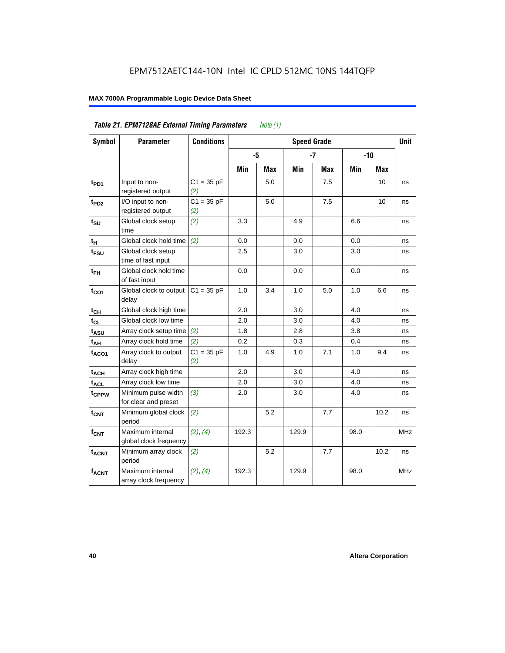|                   | Table 21. EPM7128AE External Timing Parameters |                     |       | Note $(1)$ |                    |            |      |            |             |
|-------------------|------------------------------------------------|---------------------|-------|------------|--------------------|------------|------|------------|-------------|
| Symbol            | <b>Parameter</b>                               | <b>Conditions</b>   |       |            | <b>Speed Grade</b> |            |      |            | <b>Unit</b> |
|                   |                                                |                     | -5    |            |                    | $-7$       |      | $-10$      |             |
|                   |                                                |                     | Min   | <b>Max</b> | Min                | <b>Max</b> | Min  | <b>Max</b> |             |
| t <sub>PD1</sub>  | Input to non-<br>registered output             | $C1 = 35 pF$<br>(2) |       | 5.0        |                    | 7.5        |      | 10         | ns          |
| t <sub>PD2</sub>  | I/O input to non-<br>registered output         | $C1 = 35 pF$<br>(2) |       | 5.0        |                    | 7.5        |      | 10         | ns          |
| $t_{\text{SU}}$   | Global clock setup<br>time                     | (2)                 | 3.3   |            | 4.9                |            | 6.6  |            | ns          |
| $t_H$             | Global clock hold time                         | (2)                 | 0.0   |            | 0.0                |            | 0.0  |            | ns          |
| t <sub>FSU</sub>  | Global clock setup<br>time of fast input       |                     | 2.5   |            | 3.0                |            | 3.0  |            | ns          |
| $t_{FH}$          | Global clock hold time<br>of fast input        |                     | 0.0   |            | 0.0                |            | 0.0  |            | ns          |
| $t_{CO1}$         | Global clock to output<br>delay                | $C1 = 35 pF$        | 1.0   | 3.4        | 1.0                | 5.0        | 1.0  | 6.6        | ns          |
| $t_{CH}$          | Global clock high time                         |                     | 2.0   |            | 3.0                |            | 4.0  |            | ns          |
| $t_{CL}$          | Global clock low time                          |                     | 2.0   |            | 3.0                |            | 4.0  |            | ns          |
| t <sub>ASU</sub>  | Array clock setup time                         | (2)                 | 1.8   |            | 2.8                |            | 3.8  |            | ns          |
| $t_{AH}$          | Array clock hold time                          | (2)                 | 0.2   |            | 0.3                |            | 0.4  |            | ns          |
| $t_{ACO1}$        | Array clock to output<br>delay                 | $C1 = 35 pF$<br>(2) | 1.0   | 4.9        | 1.0                | 7.1        | 1.0  | 9.4        | ns          |
| $t_{ACH}$         | Array clock high time                          |                     | 2.0   |            | 3.0                |            | 4.0  |            | ns          |
| t <sub>ACL</sub>  | Array clock low time                           |                     | 2.0   |            | 3.0                |            | 4.0  |            | ns          |
| t <sub>CPPW</sub> | Minimum pulse width<br>for clear and preset    | (3)                 | 2.0   |            | 3.0                |            | 4.0  |            | ns          |
| $t_{\text{CNT}}$  | Minimum global clock<br>period                 | (2)                 |       | 5.2        |                    | 7.7        |      | 10.2       | ns          |
| $f_{CNT}$         | Maximum internal<br>global clock frequency     | (2), (4)            | 192.3 |            | 129.9              |            | 98.0 |            | <b>MHz</b>  |
| $t_{ACNT}$        | Minimum array clock<br>period                  | (2)                 |       | 5.2        |                    | 7.7        |      | 10.2       | ns          |
| <b>fACNT</b>      | Maximum internal<br>array clock frequency      | (2), (4)            | 192.3 |            | 129.9              |            | 98.0 |            | MHz         |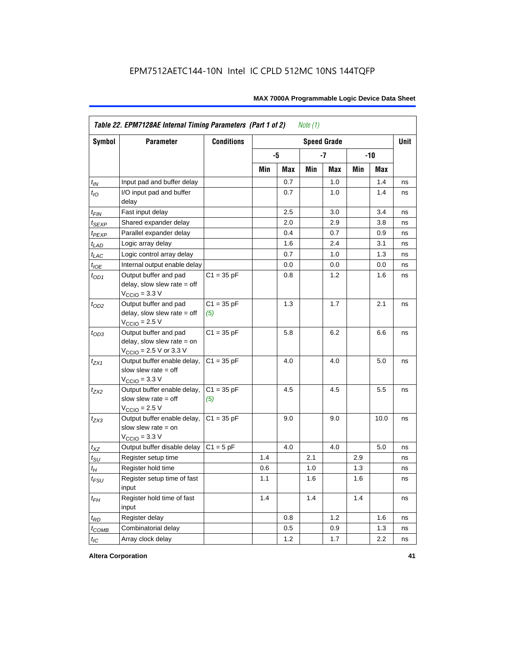|                    | Table 22. EPM7128AE Internal Timing Parameters (Part 1 of 2)                                |                     |     |     | Note $(1)$ |                    |     |         |             |
|--------------------|---------------------------------------------------------------------------------------------|---------------------|-----|-----|------------|--------------------|-----|---------|-------------|
| Symbol             | <b>Parameter</b>                                                                            | <b>Conditions</b>   |     |     |            | <b>Speed Grade</b> |     |         | <b>Unit</b> |
|                    |                                                                                             |                     |     | -5  |            | $-7$               |     | $-10$   |             |
|                    |                                                                                             |                     | Min | Max | Min        | Max                | Min | Max     |             |
| $t_{IN}$           | Input pad and buffer delay                                                                  |                     |     | 0.7 |            | 1.0                |     | 1.4     | ns          |
| $t_{IO}$           | I/O input pad and buffer<br>delay                                                           |                     |     | 0.7 |            | 1.0                |     | 1.4     | ns          |
| $t_{\mathsf{FIN}}$ | Fast input delay                                                                            |                     |     | 2.5 |            | 3.0                |     | 3.4     | ns          |
| $t_{SEXP}$         | Shared expander delay                                                                       |                     |     | 2.0 |            | 2.9                |     | 3.8     | ns          |
| $t_{PEXP}$         | Parallel expander delay                                                                     |                     |     | 0.4 |            | 0.7                |     | 0.9     | ns          |
| $t_{LAD}$          | Logic array delay                                                                           |                     |     | 1.6 |            | 2.4                |     | 3.1     | ns          |
| $t_{LAC}$          | Logic control array delay                                                                   |                     |     | 0.7 |            | 1.0                |     | 1.3     | ns          |
| $t_{IOE}$          | Internal output enable delay                                                                |                     |     | 0.0 |            | 0.0                |     | 0.0     | ns          |
| $t_{OD1}$          | Output buffer and pad<br>delay, slow slew rate = off<br>$VCCIO = 3.3 V$                     | $C1 = 35 pF$        |     | 0.8 |            | 1.2                |     | 1.6     | ns          |
| $t_{OD2}$          | Output buffer and pad<br>$delay$ , slow slew rate = off<br>$VCCIO = 2.5 V$                  | $C1 = 35 pF$<br>(5) |     | 1.3 |            | 1.7                |     | 2.1     | ns          |
| $t_{OD3}$          | Output buffer and pad<br>delay, slow slew rate $=$ on<br>$V_{\text{CCIO}}$ = 2.5 V or 3.3 V | $C1 = 35 pF$        |     | 5.8 |            | 6.2                |     | 6.6     | ns          |
| $t_{ZX1}$          | Output buffer enable delay,<br>slow slew rate $=$ off<br>$VCCIO = 3.3 V$                    | $C1 = 35 pF$        |     | 4.0 |            | 4.0                |     | 5.0     | ns          |
| $t_{7X2}$          | Output buffer enable delay,<br>slow slew rate $=$ off<br>$V_{\text{CCIO}} = 2.5 V$          | $C1 = 35 pF$<br>(5) |     | 4.5 |            | 4.5                |     | $5.5\,$ | ns          |
| $t_{ZX3}$          | Output buffer enable delay,<br>slow slew rate $=$ on<br>$V_{\text{CCIO}} = 3.3 \text{ V}$   | $C1 = 35 pF$        |     | 9.0 |            | 9.0                |     | 10.0    | ns          |
| $t_{XZ}$           | Output buffer disable delay                                                                 | $C1 = 5 pF$         |     | 4.0 |            | 4.0                |     | 5.0     | ns          |
| $t_{\text{SU}}$    | Register setup time                                                                         |                     | 1.4 |     | 2.1        |                    | 2.9 |         | ns          |
| $t_H$              | Register hold time                                                                          |                     | 0.6 |     | 1.0        |                    | 1.3 |         | ns          |
| $t_{\mathit{FSU}}$ | Register setup time of fast<br>input                                                        |                     | 1.1 |     | 1.6        |                    | 1.6 |         | ns          |
| $t_{FH}$           | Register hold time of fast<br>input                                                         |                     | 1.4 |     | 1.4        |                    | 1.4 |         | ns          |
| $t_{RD}$           | Register delay                                                                              |                     |     | 0.8 |            | 1.2                |     | 1.6     | ns          |
| $t_{COMB}$         | Combinatorial delay                                                                         |                     |     | 0.5 |            | 0.9                |     | 1.3     | ns          |
| $t_{IC}$           | Array clock delay                                                                           |                     |     | 1.2 |            | 1.7                |     | 2.2     | ns          |

**Altera Corporation 41**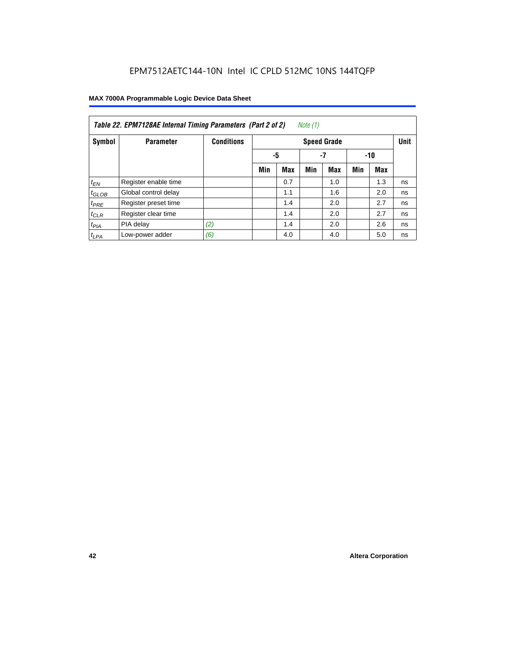| Note (1)<br>Table 22. EPM7128AE Internal Timing Parameters (Part 2 of 2) |                      |                   |     |                 |     |                    |     |            |             |  |  |  |
|--------------------------------------------------------------------------|----------------------|-------------------|-----|-----------------|-----|--------------------|-----|------------|-------------|--|--|--|
| Symbol                                                                   | <b>Parameter</b>     | <b>Conditions</b> |     |                 |     | <b>Speed Grade</b> |     |            | <b>Unit</b> |  |  |  |
|                                                                          |                      |                   |     | -5<br>-7<br>-10 |     |                    |     |            |             |  |  |  |
|                                                                          |                      |                   | Min | <b>Max</b>      | Min | <b>Max</b>         | Min | <b>Max</b> |             |  |  |  |
| $t_{EN}$                                                                 | Register enable time |                   |     | 0.7             |     | 1.0                |     | 1.3        | ns          |  |  |  |
| $t_{GLOB}$                                                               | Global control delay |                   |     | 1.1             |     | 1.6                |     | 2.0        | ns          |  |  |  |
| $t_{PRE}$                                                                | Register preset time |                   |     | 1.4             |     | 2.0                |     | 2.7        | ns          |  |  |  |
| $t_{CLR}$                                                                | Register clear time  |                   |     | 1.4             |     | 2.0                |     | 2.7        | ns          |  |  |  |
| $t_{PIA}$                                                                | PIA delay            | (2)               |     | 1.4             |     | 2.0                |     | 2.6        | ns          |  |  |  |
| $t_{LPA}$                                                                | Low-power adder      | (6)               |     | 4.0             |     | 4.0                |     | 5.0        | ns          |  |  |  |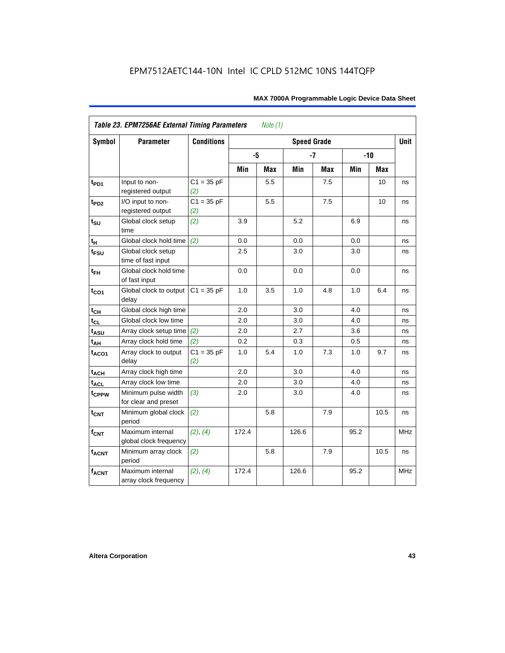| <b>Symbol</b>     | Table 23. EPM7256AE External Timing Parameters<br><b>Parameter</b> | <b>Conditions</b>   | Note $(1)$<br><b>Speed Grade</b> |     |       |            |      |        |             |  |  |
|-------------------|--------------------------------------------------------------------|---------------------|----------------------------------|-----|-------|------------|------|--------|-------------|--|--|
|                   |                                                                    |                     |                                  |     |       |            |      |        | <b>Unit</b> |  |  |
|                   |                                                                    |                     |                                  | -5  |       | $-7$       |      | $-10$  |             |  |  |
|                   |                                                                    |                     | Min                              | Max | Min   | <b>Max</b> | Min  | Max    |             |  |  |
| $t_{PD1}$         | Input to non-<br>registered output                                 | $C1 = 35 pF$<br>(2) |                                  | 5.5 |       | 7.5        |      | 10     | ns          |  |  |
| t <sub>PD2</sub>  | I/O input to non-<br>registered output                             | $C1 = 35 pF$<br>(2) |                                  | 5.5 |       | 7.5        |      | 10     | ns          |  |  |
| $t_{\text{SU}}$   | Global clock setup<br>time                                         | (2)                 | 3.9                              |     | 5.2   |            | 6.9  |        | ns          |  |  |
| tμ                | Global clock hold time                                             | (2)                 | 0.0                              |     | 0.0   |            | 0.0  |        | ns          |  |  |
| $t_{FSU}$         | Global clock setup<br>time of fast input                           |                     | 2.5                              |     | 3.0   |            | 3.0  |        | ns          |  |  |
| $t_{FH}$          | Global clock hold time<br>of fast input                            |                     | 0.0                              |     | 0.0   |            | 0.0  |        | ns          |  |  |
| $t_{CO1}$         | Global clock to output<br>delay                                    | $C1 = 35 pF$        | 1.0                              | 3.5 | 1.0   | 4.8        | 1.0  | 6.4    | ns          |  |  |
| $t_{CH}$          | Global clock high time                                             |                     | 2.0                              |     | 3.0   |            | 4.0  |        | ns          |  |  |
| $t_{CL}$          | Global clock low time                                              |                     | 2.0                              |     | 3.0   |            | 4.0  |        | ns          |  |  |
| $t_{ASU}$         | Array clock setup time                                             | (2)                 | 2.0                              |     | 2.7   |            | 3.6  |        | ns          |  |  |
| $t_{AH}$          | Array clock hold time                                              | (2)                 | 0.2                              |     | 0.3   |            | 0.5  |        | ns          |  |  |
| t <sub>ACO1</sub> | Array clock to output<br>delay                                     | $C1 = 35 pF$<br>(2) | 1.0                              | 5.4 | 1.0   | 7.3        | 1.0  | 9.7    | ns          |  |  |
| $t_{ACH}$         | Array clock high time                                              |                     | 2.0                              |     | 3.0   |            | 4.0  |        | ns          |  |  |
| t <sub>ACL</sub>  | Array clock low time                                               |                     | 2.0                              |     | 3.0   |            | 4.0  |        | ns          |  |  |
| t <sub>CPPW</sub> | Minimum pulse width<br>for clear and preset                        | (3)                 | 2.0                              |     | 3.0   |            | 4.0  |        | ns          |  |  |
| $t_{CNT}$         | Minimum global clock<br>period                                     | (2)                 |                                  | 5.8 |       | 7.9        |      | $10.5$ | ns          |  |  |
| $f_{CNT}$         | Maximum internal<br>global clock frequency                         | (2), (4)            | 172.4                            |     | 126.6 |            | 95.2 |        | <b>MHz</b>  |  |  |
| $t_{ACNT}$        | Minimum array clock<br>period                                      | (2)                 |                                  | 5.8 |       | 7.9        |      | 10.5   | ns          |  |  |
| <b>fACNT</b>      | Maximum internal<br>array clock frequency                          | (2), (4)            | 172.4                            |     | 126.6 |            | 95.2 |        | <b>MHz</b>  |  |  |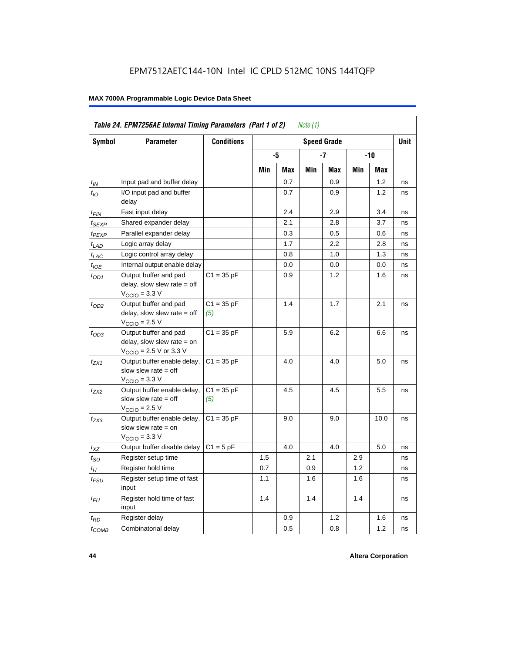| Symbol              | <b>Parameter</b>                                                                                             | <b>Conditions</b>   |     |     |     | <b>Speed Grade</b> |     |      | <b>Unit</b> |
|---------------------|--------------------------------------------------------------------------------------------------------------|---------------------|-----|-----|-----|--------------------|-----|------|-------------|
|                     |                                                                                                              |                     |     | -5  |     | -7                 |     | -10  |             |
|                     |                                                                                                              |                     | Min | Max | Min | Max                | Min | Max  |             |
| $t_{\mathit{IN}}$   | Input pad and buffer delay                                                                                   |                     |     | 0.7 |     | 0.9                |     | 1.2  | ns          |
| $t_{IO}$            | I/O input pad and buffer<br>delay                                                                            |                     |     | 0.7 |     | 0.9                |     | 1.2  | ns          |
| t <sub>FIN</sub>    | Fast input delay                                                                                             |                     |     | 2.4 |     | 2.9                |     | 3.4  | ns          |
| $t_{\mathsf{SEXP}}$ | Shared expander delay                                                                                        |                     |     | 2.1 |     | 2.8                |     | 3.7  | ns          |
| t <sub>PEXP</sub>   | Parallel expander delay                                                                                      |                     |     | 0.3 |     | 0.5                |     | 0.6  | ns          |
| t <sub>LAD</sub>    | Logic array delay                                                                                            |                     |     | 1.7 |     | 2.2                |     | 2.8  | ns          |
| $t_{LAC}$           | Logic control array delay                                                                                    |                     |     | 0.8 |     | 1.0                |     | 1.3  | ns          |
| $t_{IOE}$           | Internal output enable delay                                                                                 |                     |     | 0.0 |     | 0.0                |     | 0.0  | ns          |
| $t_{OD1}$           | Output buffer and pad<br>delay, slow slew rate $=$ off<br>$V_{\text{CCIO}} = 3.3 \text{ V}$                  | $C1 = 35 pF$        |     | 0.9 |     | 1.2                |     | 1.6  | ns          |
| $t_{OD2}$           | Output buffer and pad<br>delay, slow slew rate $=$ off<br>$V_{\text{CCIO}} = 2.5 V$                          | $C1 = 35 pF$<br>(5) |     | 1.4 |     | 1.7                |     | 2.1  | ns          |
| $t_{OD3}$           | Output buffer and pad<br>delay, slow slew rate $=$ on<br>$V_{\text{CCIO}} = 2.5 \text{ V or } 3.3 \text{ V}$ | $C1 = 35 pF$        |     | 5.9 |     | 6.2                |     | 6.6  | ns          |
| $t_{ZX1}$           | Output buffer enable delay,<br>slow slew rate $=$ off<br>$V_{\text{CCIO}} = 3.3 \text{ V}$                   | $C1 = 35 pF$        |     | 4.0 |     | 4.0                |     | 5.0  | ns          |
| $t_{ZX2}$           | Output buffer enable delay,<br>slow slew rate $=$ off<br>$V_{\text{CCIO}} = 2.5 V$                           | $C1 = 35 pF$<br>(5) |     | 4.5 |     | 4.5                |     | 5.5  | ns          |
| t <sub>ZX3</sub>    | Output buffer enable delay,<br>slow slew rate $=$ on<br>$V_{\text{CCIO}} = 3.3 \text{ V}$                    | $C1 = 35 pF$        |     | 9.0 |     | 9.0                |     | 10.0 | ns          |
| $t_{XZ}$            | Output buffer disable delay                                                                                  | $C1 = 5pF$          |     | 4.0 |     | 4.0                |     | 5.0  | ns          |
| $t_{\text{SU}}$     | Register setup time                                                                                          |                     | 1.5 |     | 2.1 |                    | 2.9 |      | ns          |
| $t_H$               | Register hold time                                                                                           |                     | 0.7 |     | 0.9 |                    | 1.2 |      | ns          |
| t <sub>FSU</sub>    | Register setup time of fast<br>input                                                                         |                     | 1.1 |     | 1.6 |                    | 1.6 |      | ns          |
| t <sub>FН</sub>     | Register hold time of fast<br>input                                                                          |                     | 1.4 |     | 1.4 |                    | 1.4 |      | ns          |
| $t_{RD}$            | Register delay                                                                                               |                     |     | 0.9 |     | 1.2                |     | 1.6  | ns          |
| $t_{COMB}$          | Combinatorial delay                                                                                          |                     |     | 0.5 |     | 0.8                |     | 1.2  | ns          |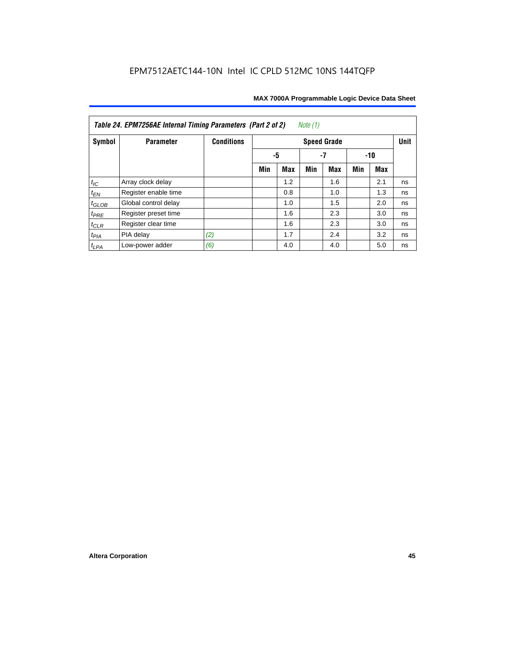| Table 24. EPM7256AE Internal Timing Parameters (Part 2 of 2)<br>Note (1) |                      |                   |     |     |       |                    |     |            |             |  |  |
|--------------------------------------------------------------------------|----------------------|-------------------|-----|-----|-------|--------------------|-----|------------|-------------|--|--|
| Symbol                                                                   | <b>Parameter</b>     | <b>Conditions</b> |     |     |       | <b>Speed Grade</b> |     |            | <b>Unit</b> |  |  |
|                                                                          |                      |                   | -5  |     | $-10$ |                    |     |            |             |  |  |
|                                                                          |                      |                   | Min | Max | Min   | Max                | Min | <b>Max</b> |             |  |  |
| $t_{\mathit{IC}}$                                                        | Array clock delay    |                   |     | 1.2 |       | 1.6                |     | 2.1        | ns          |  |  |
| $t_{EN}$                                                                 | Register enable time |                   |     | 0.8 |       | 1.0                |     | 1.3        | ns          |  |  |
| $t_{GLOB}$                                                               | Global control delay |                   |     | 1.0 |       | 1.5                |     | 2.0        | ns          |  |  |
| $t_{PRE}$                                                                | Register preset time |                   |     | 1.6 |       | 2.3                |     | 3.0        | ns          |  |  |
| $t_{CLR}$                                                                | Register clear time  |                   |     | 1.6 |       | 2.3                |     | 3.0        | ns          |  |  |
| $t_{PIA}$                                                                | PIA delay            | (2)               |     | 1.7 |       | 2.4                |     | 3.2        | ns          |  |  |
| $t_{LPA}$                                                                | Low-power adder      | (6)               |     | 4.0 |       | 4.0                |     | 5.0        | ns          |  |  |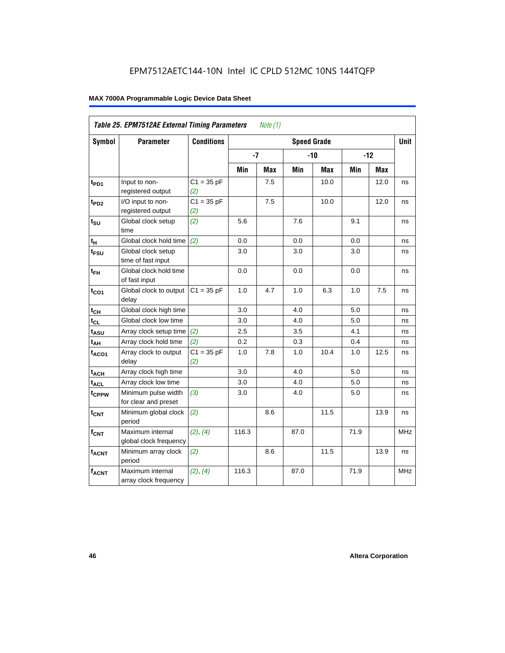|                   | Table 25. EPM7512AE External Timing Parameters |                     |       | Note (1) |                    |       |      |            |            |
|-------------------|------------------------------------------------|---------------------|-------|----------|--------------------|-------|------|------------|------------|
| Symbol            | <b>Parameter</b>                               | <b>Conditions</b>   |       |          | <b>Speed Grade</b> |       |      |            | Unit       |
|                   |                                                |                     | $-7$  |          |                    | $-10$ |      | $-12$      |            |
|                   |                                                |                     | Min   | Max      | Min                | Max   | Min  | <b>Max</b> |            |
| t <sub>PD1</sub>  | Input to non-<br>registered output             | $C1 = 35 pF$<br>(2) |       | 7.5      |                    | 10.0  |      | 12.0       | ns         |
| $t_{PD2}$         | I/O input to non-<br>registered output         | $C1 = 35 pF$<br>(2) |       | 7.5      |                    | 10.0  |      | 12.0       | ns         |
| $t_{\text{SU}}$   | Global clock setup<br>time                     | (2)                 | 5.6   |          | 7.6                |       | 9.1  |            | ns         |
| $t_H$             | Global clock hold time                         | (2)                 | 0.0   |          | 0.0                |       | 0.0  |            | ns         |
| t <sub>FSU</sub>  | Global clock setup<br>time of fast input       |                     | 3.0   |          | 3.0                |       | 3.0  |            | ns         |
| $t_{FH}$          | Global clock hold time<br>of fast input        |                     | 0.0   |          | 0.0                |       | 0.0  |            | ns         |
| $t_{CO1}$         | Global clock to output<br>delay                | $C1 = 35 pF$        | 1.0   | 4.7      | 1.0                | 6.3   | 1.0  | 7.5        | ns         |
| $t_{CH}$          | Global clock high time                         |                     | 3.0   |          | 4.0                |       | 5.0  |            | ns         |
| $t_{CL}$          | Global clock low time                          |                     | 3.0   |          | 4.0                |       | 5.0  |            | ns         |
| $t_{ASU}$         | Array clock setup time                         | (2)                 | 2.5   |          | 3.5                |       | 4.1  |            | ns         |
| $t_{AH}$          | Array clock hold time                          | (2)                 | 0.2   |          | 0.3                |       | 0.4  |            | ns         |
| $t_{ACO1}$        | Array clock to output<br>delay                 | $C1 = 35 pF$<br>(2) | 1.0   | 7.8      | 1.0                | 10.4  | 1.0  | 12.5       | ns         |
| $t_{ACH}$         | Array clock high time                          |                     | 3.0   |          | 4.0                |       | 5.0  |            | ns         |
| $t_{\text{ACL}}$  | Array clock low time                           |                     | 3.0   |          | 4.0                |       | 5.0  |            | ns         |
| t <sub>CPPW</sub> | Minimum pulse width<br>for clear and preset    | (3)                 | 3.0   |          | 4.0                |       | 5.0  |            | ns         |
| t <sub>CNT</sub>  | Minimum global clock<br>period                 | (2)                 |       | 8.6      |                    | 11.5  |      | 13.9       | ns         |
| $f_{CNT}$         | Maximum internal<br>global clock frequency     | (2), (4)            | 116.3 |          | 87.0               |       | 71.9 |            | <b>MHz</b> |
| $t_{ACNT}$        | Minimum array clock<br>period                  | (2)                 |       | 8.6      |                    | 11.5  |      | 13.9       | ns         |
| $f_{ACNT}$        | Maximum internal<br>array clock frequency      | (2), (4)            | 116.3 |          | 87.0               |       | 71.9 |            | <b>MHz</b> |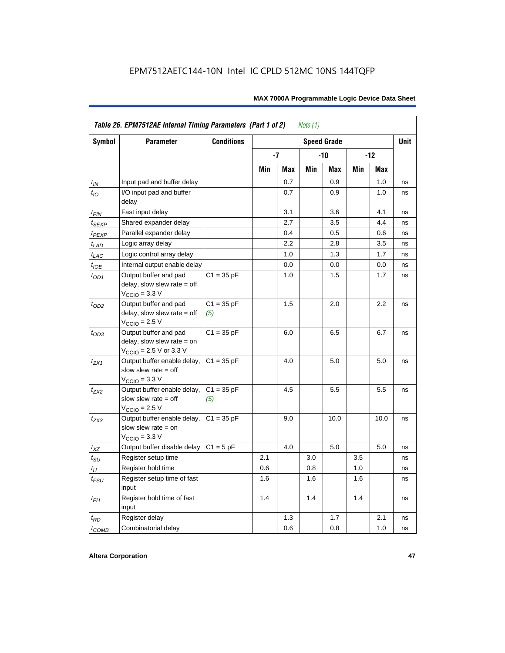|                    | Table 26. EPM7512AE Internal Timing Parameters (Part 1 of 2)                                                 |                     |     |     | Note $(1)$ |                    |     |       |             |
|--------------------|--------------------------------------------------------------------------------------------------------------|---------------------|-----|-----|------------|--------------------|-----|-------|-------------|
| Symbol             | <b>Parameter</b>                                                                                             | <b>Conditions</b>   |     |     |            | <b>Speed Grade</b> |     |       | <b>Unit</b> |
|                    |                                                                                                              |                     |     | -7  |            | -10                |     | $-12$ |             |
|                    |                                                                                                              |                     | Min | Max | Min        | Max                | Min | Max   |             |
| $t_{IN}$           | Input pad and buffer delay                                                                                   |                     |     | 0.7 |            | 0.9                |     | 1.0   | ns          |
| $t_{IO}$           | I/O input pad and buffer<br>delay                                                                            |                     |     | 0.7 |            | 0.9                |     | 1.0   | ns          |
| $t_{\sf FIN}$      | Fast input delay                                                                                             |                     |     | 3.1 |            | 3.6                |     | 4.1   | ns          |
| $t_{SEXP}$         | Shared expander delay                                                                                        |                     |     | 2.7 |            | 3.5                |     | 4.4   | ns          |
| t <sub>PEXP</sub>  | Parallel expander delay                                                                                      |                     |     | 0.4 |            | 0.5                |     | 0.6   | ns          |
| $t_{LAD}$          | Logic array delay                                                                                            |                     |     | 2.2 |            | 2.8                |     | 3.5   | ns          |
| $t_{LAC}$          | Logic control array delay                                                                                    |                     |     | 1.0 |            | 1.3                |     | 1.7   | ns          |
| $t_{IOE}$          | Internal output enable delay                                                                                 |                     |     | 0.0 |            | 0.0                |     | 0.0   | ns          |
| $t_{OD1}$          | Output buffer and pad<br>delay, slow slew rate $=$ off<br>$V_{\text{CCIO}} = 3.3 \text{ V}$                  | $C1 = 35 pF$        |     | 1.0 |            | 1.5                |     | 1.7   | ns          |
| $t_{OD2}$          | Output buffer and pad<br>delay, slow slew rate $=$ off<br>$V_{\text{CCIO}}$ = 2.5 V                          | $C1 = 35 pF$<br>(5) |     | 1.5 |            | 2.0                |     | 2.2   | ns          |
| $t_{OD3}$          | Output buffer and pad<br>delay, slow slew rate $=$ on<br>$V_{\text{CCIO}} = 2.5 \text{ V or } 3.3 \text{ V}$ | $C1 = 35 pF$        |     | 6.0 |            | 6.5                |     | 6.7   | ns          |
| $t_{ZX1}$          | Output buffer enable delay,<br>slow slew rate $=$ off<br>$V_{\text{CCIO}} = 3.3 \text{ V}$                   | $C1 = 35 pF$        |     | 4.0 |            | 5.0                |     | 5.0   | ns          |
| $t_{ZX2}$          | Output buffer enable delay,<br>slow slew rate $=$ off<br>$V_{\text{CCIO}}$ = 2.5 V                           | $C1 = 35 pF$<br>(5) |     | 4.5 |            | 5.5                |     | 5.5   | ns          |
| $t_{ZX3}$          | Output buffer enable delay,<br>slow slew rate $=$ on<br>$VCCIO = 3.3 V$                                      | $C1 = 35 pF$        |     | 9.0 |            | 10.0               |     | 10.0  | ns          |
| $t_{XZ}$           | Output buffer disable delay                                                                                  | $C1 = 5pF$          |     | 4.0 |            | 5.0                |     | 5.0   | ns          |
| $t_{\text{SU}}$    | Register setup time                                                                                          |                     | 2.1 |     | 3.0        |                    | 3.5 |       | ns          |
| $t_H$              | Register hold time                                                                                           |                     | 0.6 |     | 0.8        |                    | 1.0 |       | ns          |
| $t_{\mathit{FSU}}$ | Register setup time of fast<br>input                                                                         |                     | 1.6 |     | 1.6        |                    | 1.6 |       | ns          |
| $t_{FH}$           | Register hold time of fast<br>input                                                                          |                     | 1.4 |     | 1.4        |                    | 1.4 |       | ns          |
| $t_{RD}$           | Register delay                                                                                               |                     |     | 1.3 |            | 1.7                |     | 2.1   | ns          |
| $t_{COMB}$         | Combinatorial delay                                                                                          |                     |     | 0.6 |            | 0.8                |     | 1.0   | ns          |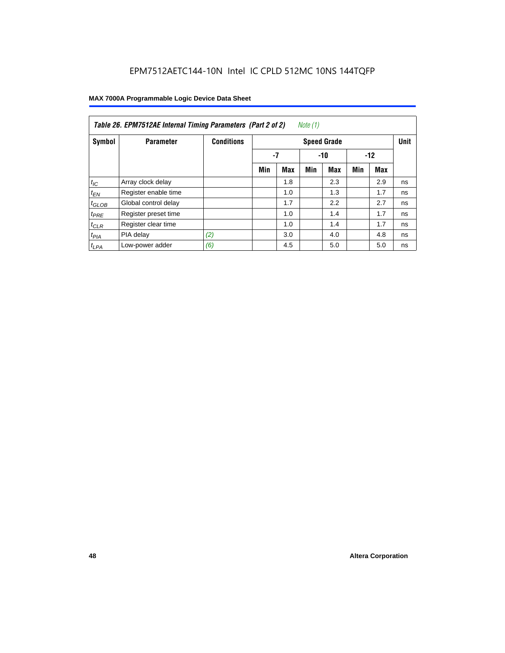| Table 26. EPM7512AE Internal Timing Parameters (Part 2 of 2)<br>Note (1) |                      |                   |                    |            |     |            |     |       |    |  |  |
|--------------------------------------------------------------------------|----------------------|-------------------|--------------------|------------|-----|------------|-----|-------|----|--|--|
| Symbol                                                                   | <b>Parameter</b>     | <b>Conditions</b> | <b>Speed Grade</b> |            |     |            |     |       |    |  |  |
|                                                                          |                      |                   |                    | $-7$       |     | $-10$      |     | $-12$ |    |  |  |
|                                                                          |                      |                   | Min                | <b>Max</b> | Min | <b>Max</b> | Min | Max   |    |  |  |
| $t_{IC}$                                                                 | Array clock delay    |                   |                    | 1.8        |     | 2.3        |     | 2.9   | ns |  |  |
| $t_{EN}$                                                                 | Register enable time |                   |                    | 1.0        |     | 1.3        |     | 1.7   | ns |  |  |
| $t_{GLOB}$                                                               | Global control delay |                   |                    | 1.7        |     | 2.2        |     | 2.7   | ns |  |  |
| $t_{PRE}$                                                                | Register preset time |                   |                    | 1.0        |     | 1.4        |     | 1.7   | ns |  |  |
| $t_{CLR}$                                                                | Register clear time  |                   |                    | 1.0        |     | 1.4        |     | 1.7   | ns |  |  |
| t <sub>PIA</sub>                                                         | PIA delay            | (2)               |                    | 3.0        |     | 4.0        |     | 4.8   | ns |  |  |
| $t_{LPA}$                                                                | Low-power adder      | (6)               |                    | 4.5        |     | 5.0        |     | 5.0   | ns |  |  |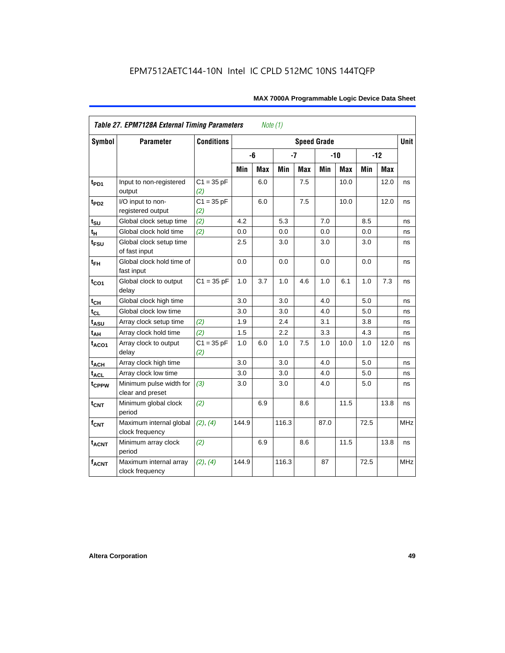|                               | <b>Table 27. EPM7128A External Timing Parameters</b> |                     |         | Note (1)   |       |            |                    |            |      |            |             |
|-------------------------------|------------------------------------------------------|---------------------|---------|------------|-------|------------|--------------------|------------|------|------------|-------------|
| <b>Symbol</b>                 | <b>Parameter</b>                                     | <b>Conditions</b>   |         |            |       |            | <b>Speed Grade</b> |            |      |            | <b>Unit</b> |
|                               |                                                      |                     |         | -6         | $-7$  |            |                    | $-10$      |      | $-12$      |             |
|                               |                                                      |                     | Min     | <b>Max</b> | Min   | <b>Max</b> | Min                | <b>Max</b> | Min  | <b>Max</b> |             |
| t <sub>PD1</sub>              | Input to non-registered<br>output                    | $C1 = 35 pF$<br>(2) |         | 6.0        |       | 7.5        |                    | 10.0       |      | 12.0       | ns          |
| $t_{PD2}$                     | I/O input to non-<br>registered output               | $C1 = 35 pF$<br>(2) |         | 6.0        |       | 7.5        |                    | 10.0       |      | 12.0       | ns          |
| $t_{\scriptstyle\textrm{SU}}$ | Global clock setup time                              | (2)                 | 4.2     |            | 5.3   |            | 7.0                |            | 8.5  |            | ns          |
| $t_H$                         | Global clock hold time                               | (2)                 | 0.0     |            | 0.0   |            | 0.0                |            | 0.0  |            | ns          |
| t <sub>FSU</sub>              | Global clock setup time<br>of fast input             |                     | $2.5\,$ |            | 3.0   |            | 3.0                |            | 3.0  |            | ns          |
| $t_{FH}$                      | Global clock hold time of<br>fast input              |                     | 0.0     |            | 0.0   |            | 0.0                |            | 0.0  |            | ns          |
| $t_{CO1}$                     | Global clock to output<br>delay                      | $C1 = 35 pF$        | 1.0     | 3.7        | 1.0   | 4.6        | 1.0                | 6.1        | 1.0  | 7.3        | ns          |
| $t_{CH}$                      | Global clock high time                               |                     | 3.0     |            | 3.0   |            | 4.0                |            | 5.0  |            | ns          |
| $t_{CL}$                      | Global clock low time                                |                     | 3.0     |            | 3.0   |            | 4.0                |            | 5.0  |            | ns          |
| t <sub>ASU</sub>              | Array clock setup time                               | (2)                 | 1.9     |            | 2.4   |            | 3.1                |            | 3.8  |            | ns          |
| $t_{AH}$                      | Array clock hold time                                | (2)                 | 1.5     |            | 2.2   |            | 3.3                |            | 4.3  |            | ns          |
| t <sub>ACO1</sub>             | Array clock to output<br>delay                       | $C1 = 35 pF$<br>(2) | 1.0     | 6.0        | 1.0   | 7.5        | 1.0                | 10.0       | 1.0  | 12.0       | ns          |
| $t_{ACH}$                     | Array clock high time                                |                     | 3.0     |            | 3.0   |            | 4.0                |            | 5.0  |            | ns          |
| t <sub>ACL</sub>              | Array clock low time                                 |                     | 3.0     |            | 3.0   |            | 4.0                |            | 5.0  |            | ns          |
| t <sub>CPPW</sub>             | Minimum pulse width for<br>clear and preset          | (3)                 | 3.0     |            | 3.0   |            | 4.0                |            | 5.0  |            | ns          |
| $t_{\text{CNT}}$              | Minimum global clock<br>period                       | (2)                 |         | 6.9        |       | 8.6        |                    | 11.5       |      | 13.8       | ns          |
| $f_{\mathsf{CNT}}$            | Maximum internal global<br>clock frequency           | (2), (4)            | 144.9   |            | 116.3 |            | 87.0               |            | 72.5 |            | <b>MHz</b>  |
| <b>t<sub>ACNT</sub></b>       | Minimum array clock<br>period                        | (2)                 |         | 6.9        |       | 8.6        |                    | 11.5       |      | 13.8       | ns          |
| <b>fACNT</b>                  | Maximum internal array<br>clock frequency            | (2), (4)            | 144.9   |            | 116.3 |            | 87                 |            | 72.5 |            | <b>MHz</b>  |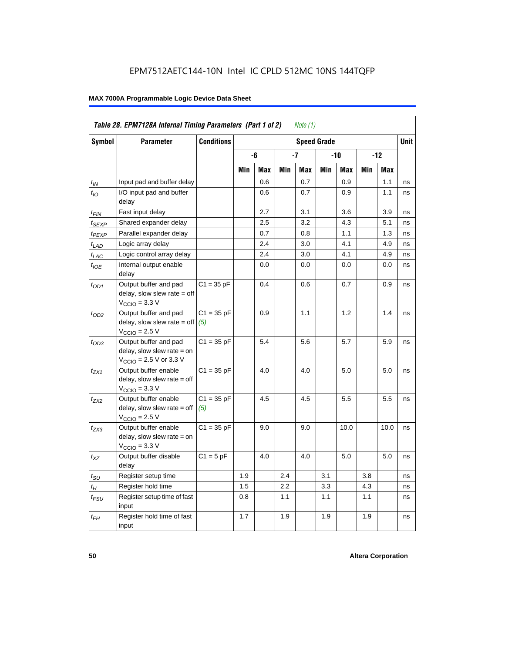|                             | Table 28. EPM7128A Internal Timing Parameters (Part 1 of 2)                                                  |                     |     |     |     | Note (1) |                    |      |     |            |      |
|-----------------------------|--------------------------------------------------------------------------------------------------------------|---------------------|-----|-----|-----|----------|--------------------|------|-----|------------|------|
| Symbol                      | <b>Parameter</b>                                                                                             | <b>Conditions</b>   |     |     |     |          | <b>Speed Grade</b> |      |     |            | Unit |
|                             |                                                                                                              |                     |     | -6  |     | -7       |                    | -10  |     | -12        |      |
|                             |                                                                                                              |                     | Min | Max | Min | Max      | Min                | Max  | Min | <b>Max</b> |      |
| $t_{IN}$                    | Input pad and buffer delay                                                                                   |                     |     | 0.6 |     | 0.7      |                    | 0.9  |     | 1.1        | ns   |
| $t_{IO}$                    | I/O input pad and buffer<br>delay                                                                            |                     |     | 0.6 |     | 0.7      |                    | 0.9  |     | 1.1        | ns   |
| t <sub>FIN</sub>            | Fast input delay                                                                                             |                     |     | 2.7 |     | 3.1      |                    | 3.6  |     | 3.9        | ns   |
| t <sub>SEXP</sub>           | Shared expander delay                                                                                        |                     |     | 2.5 |     | 3.2      |                    | 4.3  |     | 5.1        | ns   |
| t <sub>PEXP</sub>           | Parallel expander delay                                                                                      |                     |     | 0.7 |     | 0.8      |                    | 1.1  |     | 1.3        | ns   |
| $t_{LAD}$                   | Logic array delay                                                                                            |                     |     | 2.4 |     | 3.0      |                    | 4.1  |     | 4.9        | ns   |
| $t_{LAC}$                   | Logic control array delay                                                                                    |                     |     | 2.4 |     | 3.0      |                    | 4.1  |     | 4.9        | ns   |
| $t_{\mathit{IOE}}$          | Internal output enable<br>delay                                                                              |                     |     | 0.0 |     | 0.0      |                    | 0.0  |     | 0.0        | ns   |
| $t_{OD1}$                   | Output buffer and pad<br>delay, slow slew rate $=$ off<br>$VCCIO = 3.3 V$                                    | $C1 = 35 pF$        |     | 0.4 |     | 0.6      |                    | 0.7  |     | 0.9        | ns   |
| $t_{OD2}$                   | Output buffer and pad<br>delay, slow slew rate $=$ off<br>$VCCIO = 2.5 V$                                    | $C1 = 35 pF$<br>(5) |     | 0.9 |     | 1.1      |                    | 1.2  |     | 1.4        | ns   |
| $t_{OD3}$                   | Output buffer and pad<br>delay, slow slew rate $=$ on<br>$V_{\text{CCIO}} = 2.5 \text{ V or } 3.3 \text{ V}$ | $C1 = 35 pF$        |     | 5.4 |     | 5.6      |                    | 5.7  |     | 5.9        | ns   |
| t <sub>ZX1</sub>            | Output buffer enable<br>$delay$ , slow slew rate = off<br>$VCCIO = 3.3 V$                                    | $C1 = 35 pF$        |     | 4.0 |     | 4.0      |                    | 5.0  |     | 5.0        | ns   |
| $t_{ZX2}$                   | Output buffer enable<br>$delay$ , slow slew rate = off<br>$VCCIO = 2.5 V$                                    | $C1 = 35 pF$<br>(5) |     | 4.5 |     | 4.5      |                    | 5.5  |     | 5.5        | ns   |
| t <sub>ZX3</sub>            | Output buffer enable<br>delay, slow slew rate $=$ on<br>$VCCIO = 3.3 V$                                      | $C1 = 35 pF$        |     | 9.0 |     | 9.0      |                    | 10.0 |     | 10.0       | ns   |
| $t_{\mathsf{XZ}}$           | Output buffer disable<br>delay                                                                               | $C1 = 5$ pF         |     | 4.0 |     | 4.0      |                    | 5.0  |     | 5.0        | ns   |
| $t_{\scriptstyle\text{SU}}$ | Register setup time                                                                                          |                     | 1.9 |     | 2.4 |          | 3.1                |      | 3.8 |            | ns   |
| $t_{\mathcal{H}}$           | Register hold time                                                                                           |                     | 1.5 |     | 2.2 |          | 3.3                |      | 4.3 |            | ns   |
| t <sub>FSU</sub>            | Register setup time of fast<br>input                                                                         |                     | 0.8 |     | 1.1 |          | 1.1                |      | 1.1 |            | ns   |
| $t_{FH}$                    | Register hold time of fast<br>input                                                                          |                     | 1.7 |     | 1.9 |          | 1.9                |      | 1.9 |            | ns   |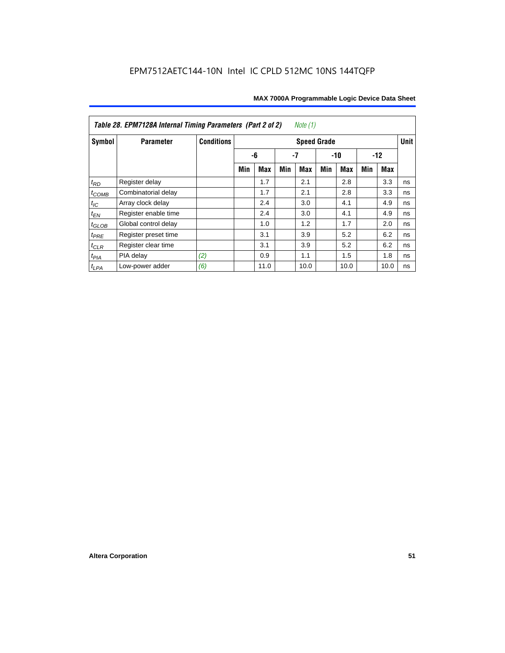| Table 28. EPM7128A Internal Timing Parameters (Part 2 of 2)<br>Note (1) |                      |                   |                    |      |     |            |       |      |       |      |             |
|-------------------------------------------------------------------------|----------------------|-------------------|--------------------|------|-----|------------|-------|------|-------|------|-------------|
| Symbol                                                                  | <b>Parameter</b>     | <b>Conditions</b> | <b>Speed Grade</b> |      |     |            |       |      |       |      | <b>Unit</b> |
|                                                                         |                      |                   |                    | -6   | -7  |            | $-10$ |      | $-12$ |      |             |
|                                                                         |                      |                   | Min                | Max  | Min | <b>Max</b> | Min   | Max  | Min   | Max  |             |
| $t_{RD}$                                                                | Register delay       |                   |                    | 1.7  |     | 2.1        |       | 2.8  |       | 3.3  | ns          |
| $t_{COMB}$                                                              | Combinatorial delay  |                   |                    | 1.7  |     | 2.1        |       | 2.8  |       | 3.3  | ns          |
| $t_{IC}$                                                                | Array clock delay    |                   |                    | 2.4  |     | 3.0        |       | 4.1  |       | 4.9  | ns          |
| $t_{EN}$                                                                | Register enable time |                   |                    | 2.4  |     | 3.0        |       | 4.1  |       | 4.9  | ns          |
| $t_{\text{GLOB}}$                                                       | Global control delay |                   |                    | 1.0  |     | 1.2        |       | 1.7  |       | 2.0  | ns          |
| $t_{PRE}$                                                               | Register preset time |                   |                    | 3.1  |     | 3.9        |       | 5.2  |       | 6.2  | ns          |
| $t_{CLR}$                                                               | Register clear time  |                   |                    | 3.1  |     | 3.9        |       | 5.2  |       | 6.2  | ns          |
| $t_{PIA}$                                                               | PIA delay            | (2)               |                    | 0.9  |     | 1.1        |       | 1.5  |       | 1.8  | ns          |
| $t_{LPA}$                                                               | Low-power adder      | (6)               |                    | 11.0 |     | 10.0       |       | 10.0 |       | 10.0 | ns          |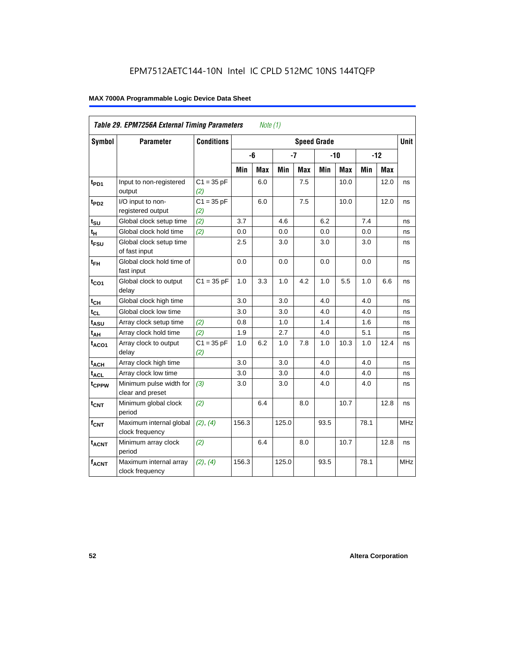|                   | Table 29. EPM7256A External Timing Parameters<br>Note $(1)$ |                     |                    |     |       |            |       |      |       |             |            |
|-------------------|-------------------------------------------------------------|---------------------|--------------------|-----|-------|------------|-------|------|-------|-------------|------------|
| Symbol            | <b>Parameter</b>                                            | <b>Conditions</b>   | <b>Speed Grade</b> |     |       |            |       |      |       | <b>Unit</b> |            |
|                   |                                                             |                     |                    | -6  | $-7$  |            | $-10$ |      | $-12$ |             |            |
|                   |                                                             |                     | Min                | Max | Min   | <b>Max</b> | Min   | Max  | Min   | <b>Max</b>  |            |
| t <sub>PD1</sub>  | Input to non-registered<br>output                           | $C1 = 35 pF$<br>(2) |                    | 6.0 |       | 7.5        |       | 10.0 |       | 12.0        | ns         |
| t <sub>PD2</sub>  | I/O input to non-<br>registered output                      | $C1 = 35 pF$<br>(2) |                    | 6.0 |       | 7.5        |       | 10.0 |       | 12.0        | ns         |
| $t_{\text{SU}}$   | Global clock setup time                                     | (2)                 | 3.7                |     | 4.6   |            | 6.2   |      | 7.4   |             | ns         |
| $t_H$             | Global clock hold time                                      | (2)                 | 0.0                |     | 0.0   |            | 0.0   |      | 0.0   |             | ns         |
| $t_{\text{FSU}}$  | Global clock setup time<br>of fast input                    |                     | 2.5                |     | 3.0   |            | 3.0   |      | 3.0   |             | ns         |
| $t_{FH}$          | Global clock hold time of<br>fast input                     |                     | 0.0                |     | 0.0   |            | 0.0   |      | 0.0   |             | ns         |
| $t_{CO1}$         | Global clock to output<br>delay                             | $C1 = 35 pF$        | 1.0                | 3.3 | 1.0   | 4.2        | 1.0   | 5.5  | 1.0   | 6.6         | ns         |
| $t_{CH}$          | Global clock high time                                      |                     | 3.0                |     | 3.0   |            | 4.0   |      | 4.0   |             | ns         |
| $t_{CL}$          | Global clock low time                                       |                     | 3.0                |     | 3.0   |            | 4.0   |      | 4.0   |             | ns         |
| t <sub>ASU</sub>  | Array clock setup time                                      | (2)                 | 0.8                |     | 1.0   |            | 1.4   |      | 1.6   |             | ns         |
| $t_{AH}$          | Array clock hold time                                       | (2)                 | 1.9                |     | 2.7   |            | 4.0   |      | 5.1   |             | ns         |
| $t_{ACO1}$        | Array clock to output<br>delay                              | $C1 = 35 pF$<br>(2) | 1.0                | 6.2 | 1.0   | 7.8        | 1.0   | 10.3 | 1.0   | 12.4        | ns         |
| $t_{ACH}$         | Array clock high time                                       |                     | 3.0                |     | 3.0   |            | 4.0   |      | 4.0   |             | ns         |
| $t_{\text{ACL}}$  | Array clock low time                                        |                     | 3.0                |     | 3.0   |            | 4.0   |      | 4.0   |             | ns         |
| t <sub>CPPW</sub> | Minimum pulse width for<br>clear and preset                 | (3)                 | 3.0                |     | 3.0   |            | 4.0   |      | 4.0   |             | ns         |
| $t_{\text{CNT}}$  | Minimum global clock<br>period                              | (2)                 |                    | 6.4 |       | 8.0        |       | 10.7 |       | 12.8        | ns         |
| $f_{CNT}$         | Maximum internal global<br>clock frequency                  | (2), (4)            | 156.3              |     | 125.0 |            | 93.5  |      | 78.1  |             | <b>MHz</b> |
| t <sub>ACNT</sub> | Minimum array clock<br>period                               | (2)                 |                    | 6.4 |       | 8.0        |       | 10.7 |       | 12.8        | ns         |
| <b>fACNT</b>      | Maximum internal array<br>clock frequency                   | (2), (4)            | 156.3              |     | 125.0 |            | 93.5  |      | 78.1  |             | <b>MHz</b> |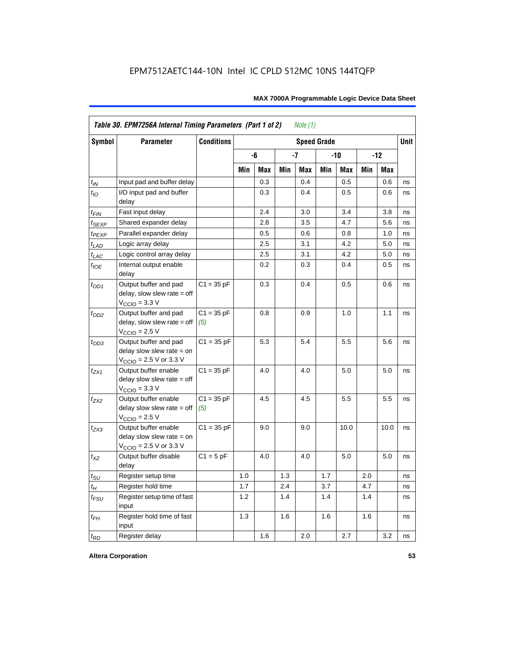|                    | Table 30. EPM7256A Internal Timing Parameters (Part 1 of 2)<br>Note $(1)$                                   |                     |            |     |     |              |                    |      |     |            |      |
|--------------------|-------------------------------------------------------------------------------------------------------------|---------------------|------------|-----|-----|--------------|--------------------|------|-----|------------|------|
| <b>Symbol</b>      | <b>Parameter</b>                                                                                            | <b>Conditions</b>   |            |     |     |              | <b>Speed Grade</b> |      |     |            | Unit |
|                    |                                                                                                             |                     | $-7$<br>-6 |     |     | $-12$<br>-10 |                    |      |     |            |      |
|                    |                                                                                                             |                     | Min        | Max | Min | Max          | Min                | Max  | Min | <b>Max</b> |      |
| $t_{IN}$           | Input pad and buffer delay                                                                                  |                     |            | 0.3 |     | 0.4          |                    | 0.5  |     | 0.6        | ns   |
| $t_{IO}$           | I/O input pad and buffer<br>delay                                                                           |                     |            | 0.3 |     | 0.4          |                    | 0.5  |     | 0.6        | ns   |
| t <sub>FIN</sub>   | Fast input delay                                                                                            |                     |            | 2.4 |     | 3.0          |                    | 3.4  |     | 3.8        | ns   |
| t <sub>SEXP</sub>  | Shared expander delay                                                                                       |                     |            | 2.8 |     | 3.5          |                    | 4.7  |     | 5.6        | ns   |
| t <sub>PEXP</sub>  | Parallel expander delay                                                                                     |                     |            | 0.5 |     | 0.6          |                    | 0.8  |     | 1.0        | ns   |
| t <sub>LAD</sub>   | Logic array delay                                                                                           |                     |            | 2.5 |     | 3.1          |                    | 4.2  |     | 5.0        | ns   |
| $t_{LAC}$          | Logic control array delay                                                                                   |                     |            | 2.5 |     | 3.1          |                    | 4.2  |     | 5.0        | ns   |
| $t_{\mathit{IOE}}$ | Internal output enable<br>delay                                                                             |                     |            | 0.2 |     | 0.3          |                    | 0.4  |     | 0.5        | ns   |
| $t_{OD1}$          | Output buffer and pad<br>$delay$ , slow slew rate = off<br>$V_{\text{CCIO}} = 3.3 \text{ V}$                | $C1 = 35 pF$        |            | 0.3 |     | 0.4          |                    | 0.5  |     | 0.6        | ns   |
| $t_{OD2}$          | Output buffer and pad<br>$delay$ , slow slew rate = off<br>$VCCIO = 2.5 V$                                  | $C1 = 35 pF$<br>(5) |            | 0.8 |     | 0.9          |                    | 1.0  |     | 1.1        | ns   |
| $t_{OD3}$          | Output buffer and pad<br>delay slow slew rate $=$ on<br>$V_{\text{CCIO}} = 2.5 \text{ V or } 3.3 \text{ V}$ | $C1 = 35 pF$        |            | 5.3 |     | 5.4          |                    | 5.5  |     | 5.6        | ns   |
| $t_{ZX1}$          | Output buffer enable<br>delay slow slew rate $=$ off<br>$VCCIO = 3.3 V$                                     | $C1 = 35 pF$        |            | 4.0 |     | 4.0          |                    | 5.0  |     | 5.0        | ns   |
| $t_{ZX2}$          | Output buffer enable<br>delay slow slew rate $=$ off<br>$VCCIO = 2.5 V$                                     | $C1 = 35 pF$<br>(5) |            | 4.5 |     | 4.5          |                    | 5.5  |     | 5.5        | ns   |
| t <sub>ZX3</sub>   | Output buffer enable<br>delay slow slew rate $=$ on<br>$V_{\text{CCIO}} = 2.5 \text{ V or } 3.3 \text{ V}$  | $C1 = 35 pF$        |            | 9.0 |     | 9.0          |                    | 10.0 |     | 10.0       | ns   |
| $t_{XZ}$           | Output buffer disable<br>delay                                                                              | $C1 = 5pF$          |            | 4.0 |     | 4.0          |                    | 5.0  |     | 5.0        | ns   |
| $t_{\sf SU}$       | Register setup time                                                                                         |                     | 1.0        |     | 1.3 |              | 1.7                |      | 2.0 |            | ns   |
| $t_{\mathcal{H}}$  | Register hold time                                                                                          |                     | 1.7        |     | 2.4 |              | 3.7                |      | 4.7 |            | ns   |
| $t_{FSU}$          | Register setup time of fast<br>input                                                                        |                     | 1.2        |     | 1.4 |              | 1.4                |      | 1.4 |            | ns   |
| $t_{FH}$           | Register hold time of fast<br>input                                                                         |                     | 1.3        |     | 1.6 |              | 1.6                |      | 1.6 |            | ns   |
| $t_{RD}$           | Register delay                                                                                              |                     |            | 1.6 |     | 2.0          |                    | 2.7  |     | 3.2        | ns   |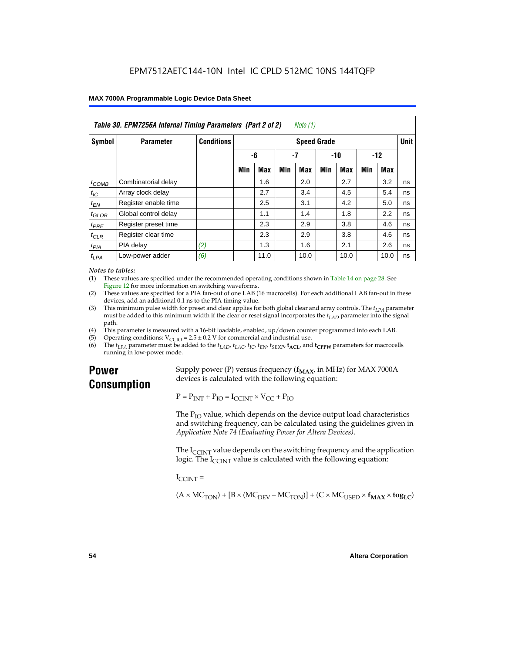| Table 30. EPM7256A Internal Timing Parameters (Part 2 of 2)<br>Note (1) |                      |                                         |     |            |     |      |       |            |       |      |    |
|-------------------------------------------------------------------------|----------------------|-----------------------------------------|-----|------------|-----|------|-------|------------|-------|------|----|
| <b>Symbol</b>                                                           | <b>Parameter</b>     | <b>Conditions</b><br><b>Speed Grade</b> |     |            |     |      |       |            |       |      |    |
|                                                                         |                      |                                         | -6  |            | -7  |      | $-10$ |            | $-12$ |      |    |
|                                                                         |                      |                                         | Min | <b>Max</b> | Min | Max  | Min   | <b>Max</b> | Min   | Max  |    |
| $t_{COMB}$                                                              | Combinatorial delay  |                                         |     | 1.6        |     | 2.0  |       | 2.7        |       | 3.2  | ns |
| $t_{IC}$                                                                | Array clock delay    |                                         |     | 2.7        |     | 3.4  |       | 4.5        |       | 5.4  | ns |
| $t_{EN}$                                                                | Register enable time |                                         |     | 2.5        |     | 3.1  |       | 4.2        |       | 5.0  | ns |
| $t_{\text{GLOB}}$                                                       | Global control delay |                                         |     | 1.1        |     | 1.4  |       | 1.8        |       | 2.2  | ns |
| $t_{PRE}$                                                               | Register preset time |                                         |     | 2.3        |     | 2.9  |       | 3.8        |       | 4.6  | ns |
| $t_{CLR}$                                                               | Register clear time  |                                         |     | 2.3        |     | 2.9  |       | 3.8        |       | 4.6  | ns |
| t <sub>PIA</sub>                                                        | PIA delay            | (2)                                     |     | 1.3        |     | 1.6  |       | 2.1        |       | 2.6  | ns |
| $t_{LPA}$                                                               | Low-power adder      | (6)                                     |     | 11.0       |     | 10.0 |       | 10.0       |       | 10.0 | ns |

#### *Notes to tables:*

(1) These values are specified under the recommended operating conditions shown in Table 14 on page 28. See Figure 12 for more information on switching waveforms.

- (2) These values are specified for a PIA fan-out of one LAB (16 macrocells). For each additional LAB fan-out in these devices, add an additional 0.1 ns to the PIA timing value.
- (3) This minimum pulse width for preset and clear applies for both global clear and array controls. The  $t_{LPA}$  parameter must be added to this minimum width if the clear or reset signal incorporates the  $t_{LAD}$  parameter into the signal path.
- (4) This parameter is measured with a 16-bit loadable, enabled, up/down counter programmed into each LAB.
- (5) Operating conditions:  $V_{\text{CCIO}} = 2.5 \pm 0.2 \text{ V}$  for commercial and industrial use.<br>(6) The  $t_{I/A}$  parameter must be added to the  $t_{I AD}$ ,  $t_{I AC}$ ,  $t_{I C}$ ,  $t_{F N}$ ,  $t_{S F Y P}$ ,  $t_{A C I}$ , and
- The  $t_{LPA}$  parameter must be added to the  $t_{LAD}$ ,  $t_{LAC}$ ,  $t_{IC}$ ,  $t_{EN}$ ,  $t_{SEXP}$ ,  $t_{ACL}$  and  $t_{CPPW}$  parameters for macrocells running in low-power mode.

## **Power Consumption**

Supply power (P) versus frequency  $(f_{MAX}$ , in MHz) for MAX 7000A devices is calculated with the following equation:

 $P = P_{INT} + P_{IO} = I_{CCINT} \times V_{CC} + P_{IO}$ 

The  $P_{IO}$  value, which depends on the device output load characteristics and switching frequency, can be calculated using the guidelines given in *Application Note 74 (Evaluating Power for Altera Devices)*.

The  $I_{\text{CUNT}}$  value depends on the switching frequency and the application logic. The  $I_{\text{CCINT}}$  value is calculated with the following equation:

 $I_{\text{CCMT}} =$ 

 $(A \times MC_{TON}) + [B \times (MC_{DEV} - MC_{TON})] + (C \times MC_{LISED} \times f_{MAX} \times tog_{LC})$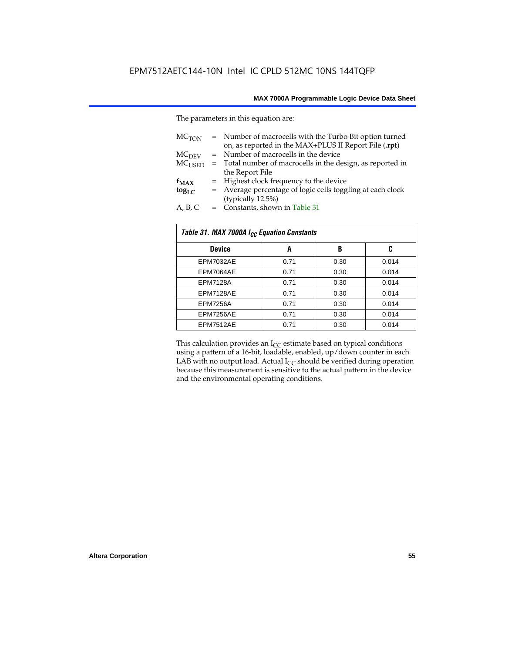The parameters in this equation are:

| MC <sub>TON</sub> | = Number of macrocells with the Turbo Bit option turned<br>on, as reported in the MAX+PLUS II Report File (.rpt) |
|-------------------|------------------------------------------------------------------------------------------------------------------|
| MC <sub>DFV</sub> | = Number of macrocells in the device                                                                             |
| $MC_{LISED}$      | = Total number of macrocells in the design, as reported in                                                       |
|                   | the Report File                                                                                                  |
| $f_{MAX}$         | = Highest clock frequency to the device                                                                          |
| $tog_{LC}$        | = Average percentage of logic cells toggling at each clock                                                       |
|                   | (typically 12.5%)                                                                                                |
| A, B, C           | = Constants, shown in Table 31                                                                                   |

| Table 31. MAX 7000A I <sub>CC</sub> Equation Constants |      |      |       |  |  |
|--------------------------------------------------------|------|------|-------|--|--|
| <b>Device</b>                                          | A    | B    | C     |  |  |
| EPM7032AE                                              | 0.71 | 0.30 | 0.014 |  |  |
| EPM7064AE                                              | 0.71 | 0.30 | 0.014 |  |  |
| <b>EPM7128A</b>                                        | 0.71 | 0.30 | 0.014 |  |  |
| EPM7128AE                                              | 0.71 | 0.30 | 0.014 |  |  |
| <b>EPM7256A</b>                                        | 0.71 | 0.30 | 0.014 |  |  |
| EPM7256AE                                              | 0.71 | 0.30 | 0.014 |  |  |
| EPM7512AE                                              | 0.71 | 0.30 | 0.014 |  |  |

This calculation provides an  $I_{CC}$  estimate based on typical conditions using a pattern of a 16-bit, loadable, enabled, up/down counter in each LAB with no output load. Actual  $I_{CC}$  should be verified during operation because this measurement is sensitive to the actual pattern in the device and the environmental operating conditions.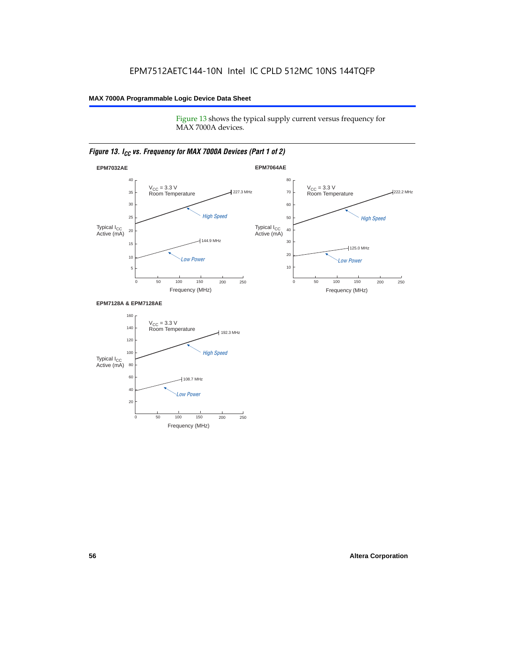Figure 13 shows the typical supply current versus frequency for MAX 7000A devices.

#### *Figure 13. I<sub>CC</sub> vs. Frequency for MAX 7000A Devices (Part 1 of 2)*



#### **EPM7128A & EPM7128AE**

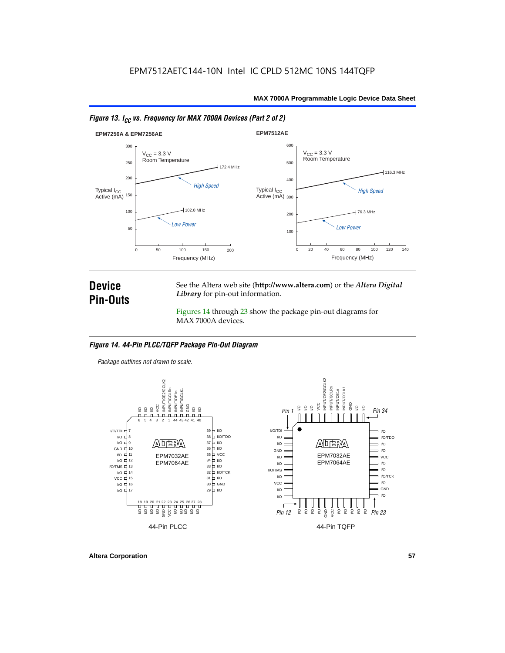



### **Device Pin-Outs**

See the Altera web site (**http://www.altera.com**) or the *Altera Digital Library* for pin-out information.

Figures 14 through 23 show the package pin-out diagrams for MAX 7000A devices.

#### *Figure 14. 44-Pin PLCC/TQFP Package Pin-Out Diagram*

*Package outlines not drawn to scale.*



**Altera Corporation 57**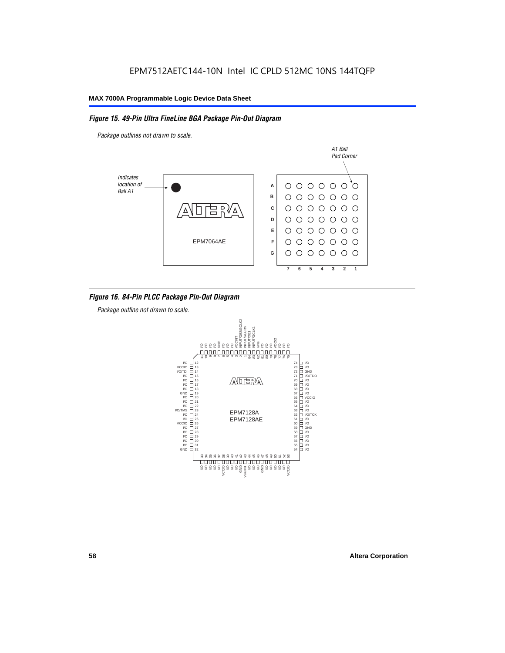#### *Figure 15. 49-Pin Ultra FineLine BGA Package Pin-Out Diagram*

*Package outlines not drawn to scale.*



#### *Figure 16. 84-Pin PLCC Package Pin-Out Diagram*

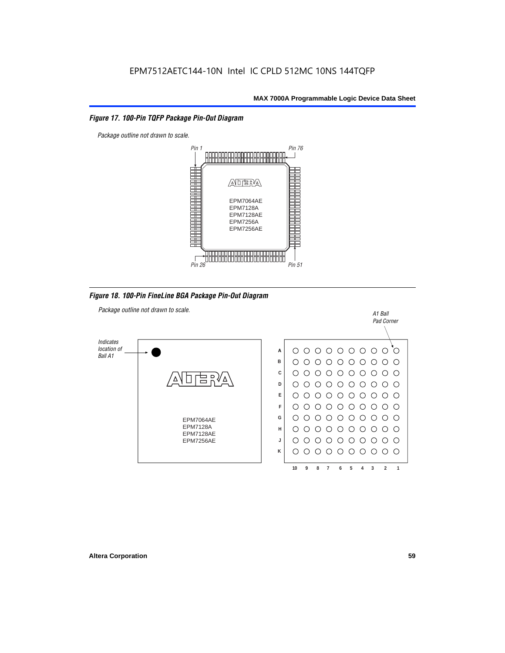#### *Figure 17. 100-Pin TQFP Package Pin-Out Diagram*



*Figure 18. 100-Pin FineLine BGA Package Pin-Out Diagram*

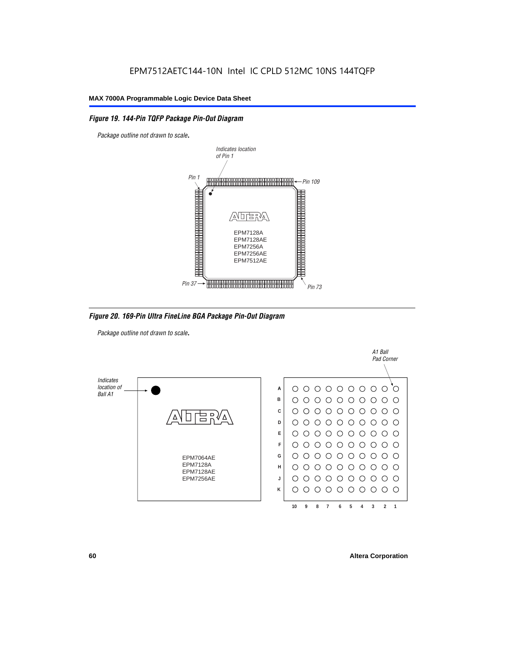#### *Figure 19. 144-Pin TQFP Package Pin-Out Diagram*

*Package outline not drawn to scale*.



*Figure 20. 169-Pin Ultra FineLine BGA Package Pin-Out Diagram*

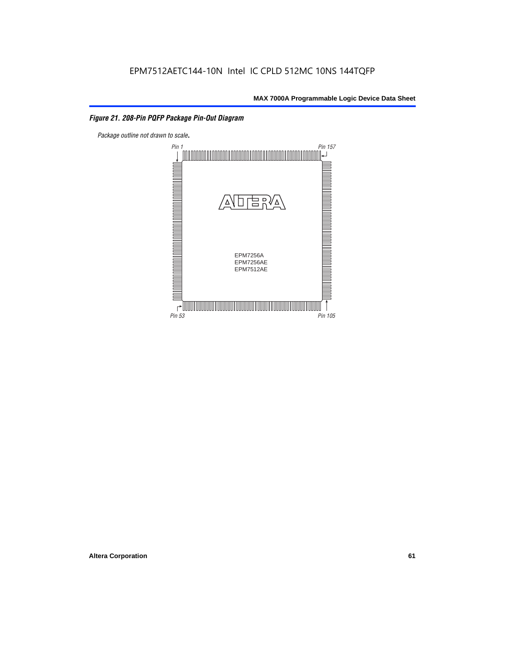#### *Figure 21. 208-Pin PQFP Package Pin-Out Diagram*

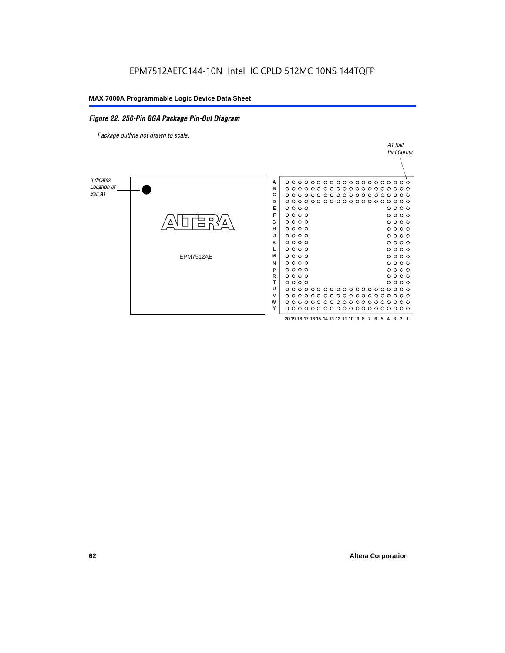#### *Figure 22. 256-Pin BGA Package Pin-Out Diagram*

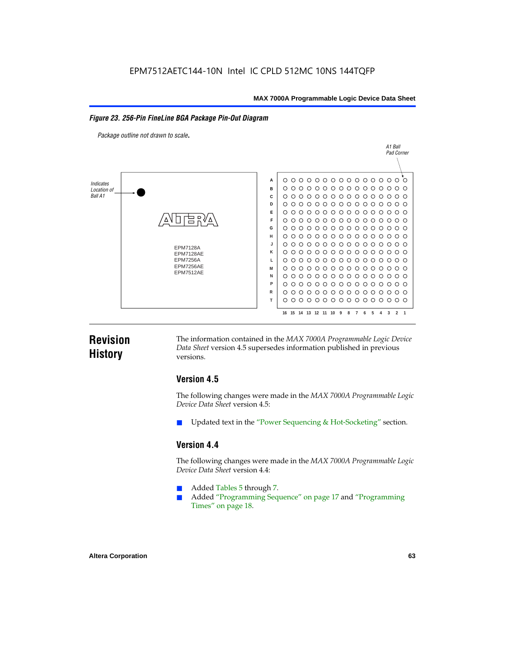#### *Figure 23. 256-Pin FineLine BGA Package Pin-Out Diagram*

*Package outline not drawn to scale*.



### **Revision History**

The information contained in the *MAX 7000A Programmable Logic Device Data Sheet* version 4.5 supersedes information published in previous versions.

#### **Version 4.5**

The following changes were made in the *MAX 7000A Programmable Logic Device Data Sheet* version 4.5:

Updated text in the "Power Sequencing & Hot-Socketing" section.

#### **Version 4.4**

The following changes were made in the *MAX 7000A Programmable Logic Device Data Sheet* version 4.4:

- Added Tables 5 through 7.
	- Added "Programming Sequence" on page 17 and "Programming Times" on page 18.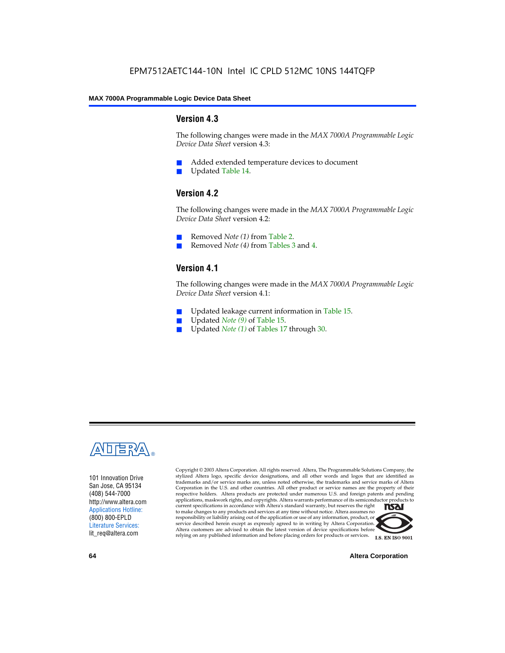#### **Version 4.3**

The following changes were made in the *MAX 7000A Programmable Logic Device Data Sheet* version 4.3:

- Added extended temperature devices to document
- Updated Table 14.

#### **Version 4.2**

The following changes were made in the *MAX 7000A Programmable Logic Device Data Sheet* version 4.2:

- Removed *Note (1)* from Table 2.
- Removed *Note (4)* from Tables 3 and 4.

#### **Version 4.1**

The following changes were made in the *MAX 7000A Programmable Logic Device Data Sheet* version 4.1:

- Updated leakage current information in Table 15.
- Updated *Note (9)* of Table 15.
- Updated *Note* (1) of Tables 17 through 30.



101 Innovation Drive San Jose, CA 95134 (408) 544-7000 http://www.altera.com Applications Hotline: (800) 800-EPLD Literature Services: lit\_req@altera.com

Copyright © 2003 Altera Corporation. All rights reserved. Altera, The Programmable Solutions Company, the stylized Altera logo, specific device designations, and all other words and logos that are identified as trademarks and/or service marks are, unless noted otherwise, the trademarks and service marks of Altera Corporation in the U.S. and other countries. All other product or service names are the property of their respective holders. Altera products are protected under numerous U.S. and foreign patents and pending applications, maskwork rights, and copyrights. Altera warrants performance of its semiconductor products to current specifications in accordance with Altera's standard warranty, but reserves the right **TSAI** to make changes to any products and services at any time without notice. Altera assumes no responsibility or liability arising out of the application or use of any information, product, or service described herein except as expressly agreed to in writing by Altera Corporation. Altera customers are advised to obtain the latest version of device specifications before relying on any published information and before placing orders for products or services.



**64 Altera Corporation**